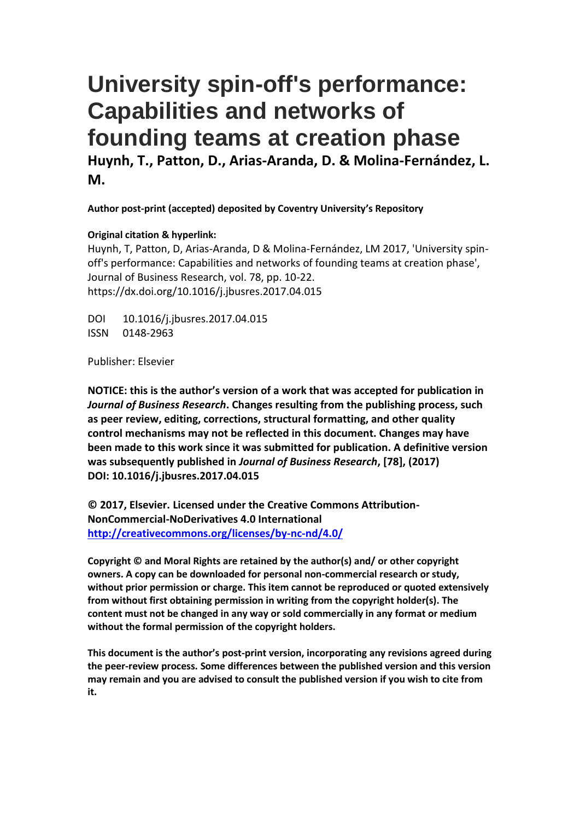# **University spin-off's performance: Capabilities and networks of founding teams at creation phase**

**Huynh, T., Patton, D., Arias-Aranda, D. & Molina-Fernández, L. M.**

**Author post-print (accepted) deposited by Coventry University's Repository**

#### **Original citation & hyperlink:**

Huynh, T, Patton, D, Arias-Aranda, D & Molina-Fernández, LM 2017, 'University spinoff's performance: Capabilities and networks of founding teams at creation phase', Journal of Business Research, vol. 78, pp. 10-22. https://dx.doi.org/10.1016/j.jbusres.2017.04.015

DOI 10.1016/j.jbusres.2017.04.015 ISSN 0148-2963

Publisher: Elsevier

**NOTICE: this is the author's version of a work that was accepted for publication in**  *Journal of Business Research***. Changes resulting from the publishing process, such as peer review, editing, corrections, structural formatting, and other quality control mechanisms may not be reflected in this document. Changes may have been made to this work since it was submitted for publication. A definitive version was subsequently published in** *Journal of Business Research***, [78], (2017) DOI: 10.1016/j.jbusres.2017.04.015**

**© 2017, Elsevier. Licensed under the Creative Commons Attribution-NonCommercial-NoDerivatives 4.0 International <http://creativecommons.org/licenses/by-nc-nd/4.0/>**

**Copyright © and Moral Rights are retained by the author(s) and/ or other copyright owners. A copy can be downloaded for personal non-commercial research or study, without prior permission or charge. This item cannot be reproduced or quoted extensively from without first obtaining permission in writing from the copyright holder(s). The content must not be changed in any way or sold commercially in any format or medium without the formal permission of the copyright holders.** 

**This document is the author's post-print version, incorporating any revisions agreed during the peer-review process. Some differences between the published version and this version may remain and you are advised to consult the published version if you wish to cite from it.**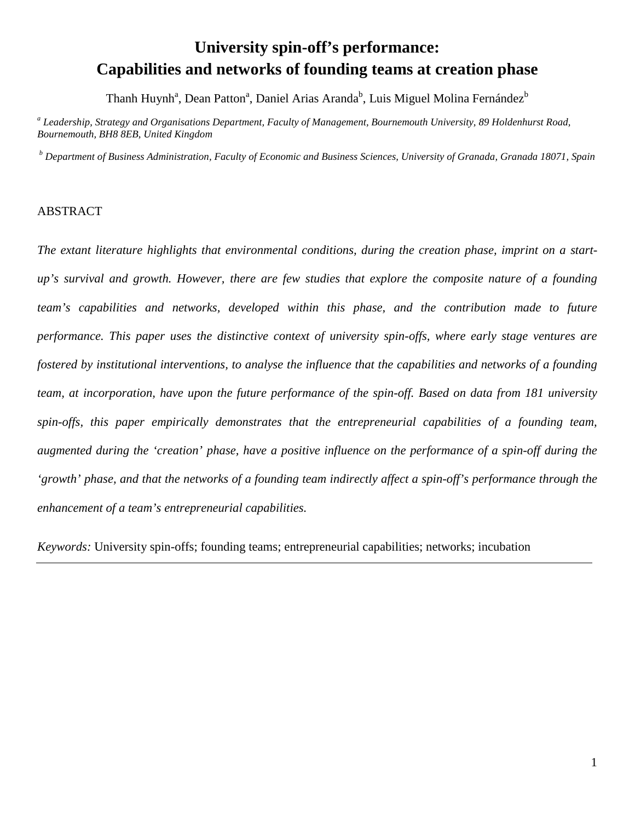# **University spin-off's performance: Capabilities and networks of founding teams at creation phase**

Thanh Huynh<sup>a</sup>, Dean Patton<sup>a</sup>, Daniel Arias Aranda<sup>b</sup>, Luis Miguel Molina Fernández<sup>b</sup>

*<sup>a</sup> Leadership, Strategy and Organisations Department, Faculty of Management, Bournemouth University, 89 Holdenhurst Road, Bournemouth, BH8 8EB, United Kingdom*

*<sup>b</sup> Department of Business Administration, Faculty of Economic and Business Sciences, University of Granada, Granada 18071, Spain*

#### ABSTRACT

*The extant literature highlights that environmental conditions, during the creation phase, imprint on a startup's survival and growth. However, there are few studies that explore the composite nature of a founding team's capabilities and networks, developed within this phase, and the contribution made to future performance. This paper uses the distinctive context of university spin-offs, where early stage ventures are fostered by institutional interventions, to analyse the influence that the capabilities and networks of a founding team, at incorporation, have upon the future performance of the spin-off. Based on data from 181 university spin-offs, this paper empirically demonstrates that the entrepreneurial capabilities of a founding team, augmented during the 'creation' phase, have a positive influence on the performance of a spin-off during the 'growth' phase, and that the networks of a founding team indirectly affect a spin-off's performance through the enhancement of a team's entrepreneurial capabilities.*

*Keywords:* University spin-offs; founding teams; entrepreneurial capabilities; networks; incubation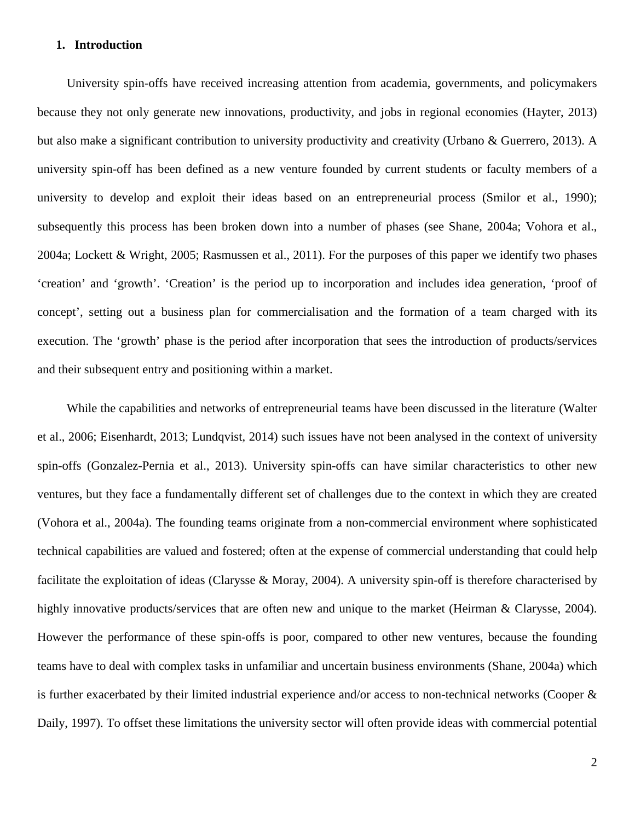#### **1. Introduction**

University spin-offs have received increasing attention from academia, governments, and policymakers because they not only generate new innovations, productivity, and jobs in regional economies [\(Hayter, 2013\)](#page-24-0) but also make a significant contribution to university productivity and creativity [\(Urbano & Guerrero, 2013\)](#page-26-0). A university spin-off has been defined as a new venture founded by current students or faculty members of a university to develop and exploit their ideas based on an entrepreneurial process [\(Smilor et al., 1990\)](#page-26-1); subsequently this process has been broken down into a number of phases (see [Shane, 2004a;](#page-26-2) [Vohora et al.,](#page-27-0)  [2004a;](#page-27-0) [Lockett & Wright, 2005;](#page-25-0) [Rasmussen et al., 2011\)](#page-26-3). For the purposes of this paper we identify two phases 'creation' and 'growth'. 'Creation' is the period up to incorporation and includes idea generation, 'proof of concept', setting out a business plan for commercialisation and the formation of a team charged with its execution. The 'growth' phase is the period after incorporation that sees the introduction of products/services and their subsequent entry and positioning within a market.

While the capabilities and networks of entrepreneurial teams have been discussed in the literature [\(Walter](#page-27-1)  [et al., 2006;](#page-27-1) [Eisenhardt, 2013;](#page-24-1) [Lundqvist, 2014\)](#page-25-1) such issues have not been analysed in the context of university spin-offs [\(Gonzalez-Pernia et al., 2013\)](#page-24-2). University spin-offs can have similar characteristics to other new ventures, but they face a fundamentally different set of challenges due to the context in which they are created [\(Vohora et al., 2004a\)](#page-27-0). The founding teams originate from a non-commercial environment where sophisticated technical capabilities are valued and fostered; often at the expense of commercial understanding that could help facilitate the exploitation of ideas [\(Clarysse & Moray, 2004\)](#page-23-0). A university spin-off is therefore characterised by highly innovative products/services that are often new and unique to the market [\(Heirman & Clarysse, 2004\)](#page-24-3). However the performance of these spin-offs is poor, compared to other new ventures, because the founding teams have to deal with complex tasks in unfamiliar and uncertain business environments [\(Shane, 2004a\)](#page-26-2) which is further exacerbated by their limited industrial experience and/or access to non-technical networks [\(Cooper &](#page-23-1)  [Daily, 1997\)](#page-23-1). To offset these limitations the university sector will often provide ideas with commercial potential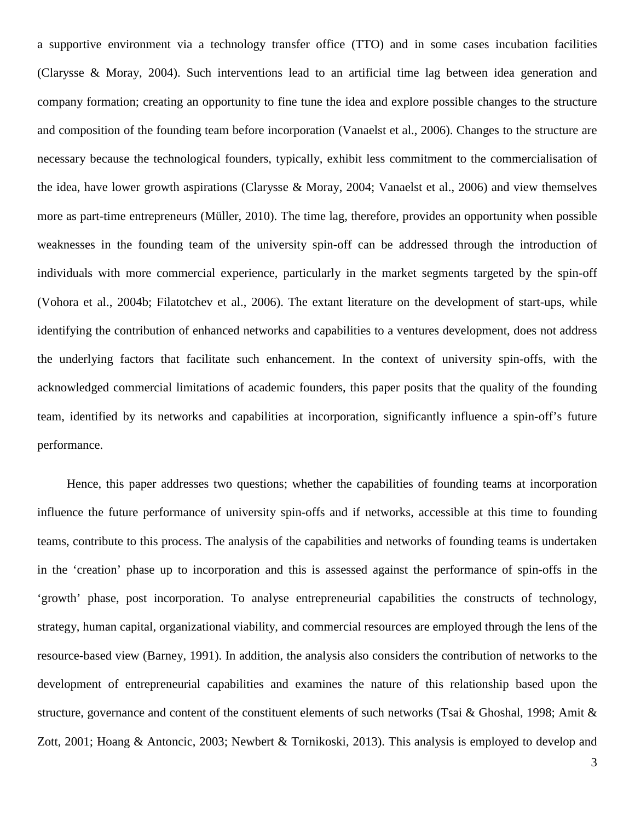a supportive environment via a technology transfer office (TTO) and in some cases incubation facilities [\(Clarysse & Moray, 2004\)](#page-23-0). Such interventions lead to an artificial time lag between idea generation and company formation; creating an opportunity to fine tune the idea and explore possible changes to the structure and composition of the founding team before incorporation [\(Vanaelst et al., 2006\)](#page-26-4). Changes to the structure are necessary because the technological founders, typically, exhibit less commitment to the commercialisation of the idea, have lower growth aspirations [\(Clarysse & Moray, 2004;](#page-23-0) [Vanaelst et al., 2006\)](#page-26-4) and view themselves more as part-time entrepreneurs [\(Müller, 2010\)](#page-25-2). The time lag, therefore, provides an opportunity when possible weaknesses in the founding team of the university spin-off can be addressed through the introduction of individuals with more commercial experience, particularly in the market segments targeted by the spin-off [\(Vohora et al., 2004b;](#page-27-2) [Filatotchev et al., 2006\)](#page-24-4). The extant literature on the development of start-ups, while identifying the contribution of enhanced networks and capabilities to a ventures development, does not address the underlying factors that facilitate such enhancement. In the context of university spin-offs, with the acknowledged commercial limitations of academic founders, this paper posits that the quality of the founding team, identified by its networks and capabilities at incorporation, significantly influence a spin-off's future performance.

Hence, this paper addresses two questions; whether the capabilities of founding teams at incorporation influence the future performance of university spin-offs and if networks, accessible at this time to founding teams, contribute to this process. The analysis of the capabilities and networks of founding teams is undertaken in the 'creation' phase up to incorporation and this is assessed against the performance of spin-offs in the 'growth' phase, post incorporation. To analyse entrepreneurial capabilities the constructs of technology, strategy, human capital, organizational viability, and commercial resources are employed through the lens of the resource-based view [\(Barney, 1991\)](#page-23-2). In addition, the analysis also considers the contribution of networks to the development of entrepreneurial capabilities and examines the nature of this relationship based upon the structure, governance and content of the constituent elements of such networks [\(Tsai & Ghoshal, 1998;](#page-26-5) [Amit &](#page-23-3)  [Zott, 2001;](#page-23-3) Hoang & [Antoncic, 2003;](#page-24-5) [Newbert & Tornikoski, 2013\)](#page-25-3). This analysis is employed to develop and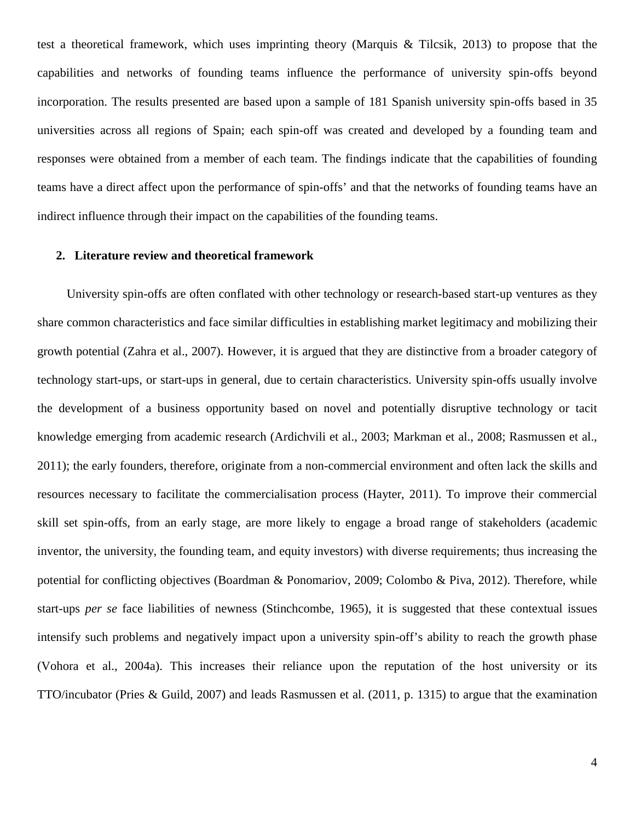test a theoretical framework, which uses imprinting theory [\(Marquis & Tilcsik, 2013\)](#page-25-4) to propose that the capabilities and networks of founding teams influence the performance of university spin-offs beyond incorporation. The results presented are based upon a sample of 181 Spanish university spin-offs based in 35 universities across all regions of Spain; each spin-off was created and developed by a founding team and responses were obtained from a member of each team. The findings indicate that the capabilities of founding teams have a direct affect upon the performance of spin-offs' and that the networks of founding teams have an indirect influence through their impact on the capabilities of the founding teams.

#### **2. Literature review and theoretical framework**

University spin-offs are often conflated with other technology or research-based start-up ventures as they share common characteristics and face similar difficulties in establishing market legitimacy and mobilizing their growth potential [\(Zahra et al., 2007\)](#page-27-3). However, it is argued that they are distinctive from a broader category of technology start-ups, or start-ups in general, due to certain characteristics. University spin-offs usually involve the development of a business opportunity based on novel and potentially disruptive technology or tacit knowledge emerging from academic research [\(Ardichvili et al., 2003;](#page-23-4) [Markman et al., 2008;](#page-25-5) [Rasmussen et al.,](#page-26-3)  [2011\)](#page-26-3); the early founders, therefore, originate from a non-commercial environment and often lack the skills and resources necessary to facilitate the commercialisation process [\(Hayter, 2011\)](#page-24-6). To improve their commercial skill set spin-offs, from an early stage, are more likely to engage a broad range of stakeholders (academic inventor, the university, the founding team, and equity investors) with diverse requirements; thus increasing the potential for conflicting objectives [\(Boardman & Ponomariov, 2009;](#page-23-5) [Colombo & Piva, 2012\)](#page-23-6). Therefore, while start-ups *per se* face liabilities of newness [\(Stinchcombe, 1965\)](#page-26-6), it is suggested that these contextual issues intensify such problems and negatively impact upon a university spin-off's ability to reach the growth phase [\(Vohora et al., 2004a\)](#page-27-0). This increases their reliance upon the reputation of the host university or its TTO/incubator [\(Pries & Guild, 2007\)](#page-26-7) and leads [Rasmussen et al. \(2011, p. 1315\)](#page-26-3) to argue that the examination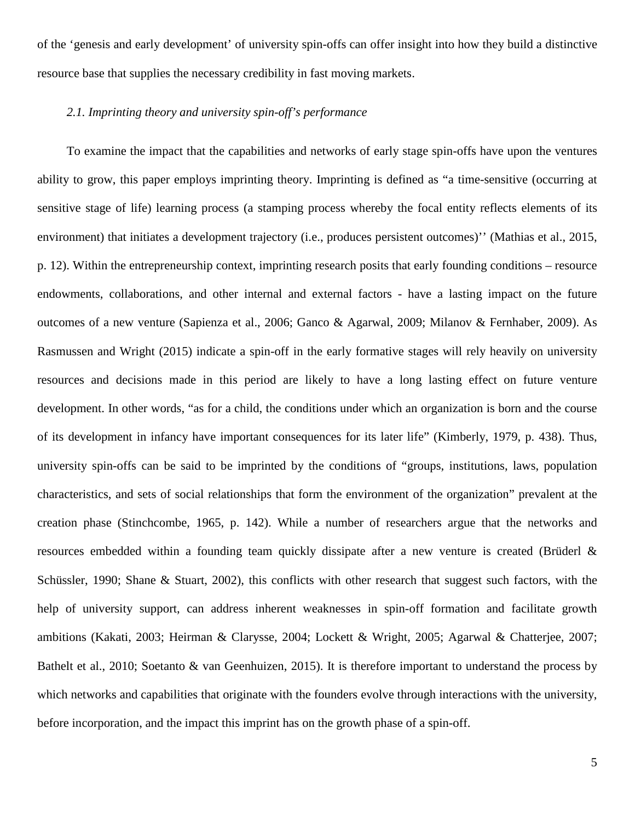of the 'genesis and early development' of university spin-offs can offer insight into how they build a distinctive resource base that supplies the necessary credibility in fast moving markets.

#### *2.1. Imprinting theory and university spin-off's performance*

To examine the impact that the capabilities and networks of early stage spin-offs have upon the ventures ability to grow, this paper employs imprinting theory. Imprinting is defined as "a time-sensitive (occurring at sensitive stage of life) learning process (a stamping process whereby the focal entity reflects elements of its environment) that initiates a development trajectory (i.e., produces persistent outcomes)'' [\(Mathias et al., 2015,](#page-25-6)  [p. 12\)](#page-25-6). Within the entrepreneurship context, imprinting research posits that early founding conditions – resource endowments, collaborations, and other internal and external factors - have a lasting impact on the future outcomes of a new venture [\(Sapienza et al., 2006;](#page-26-8) [Ganco & Agarwal, 2009;](#page-24-7) [Milanov & Fernhaber, 2009\)](#page-25-7). As [Rasmussen and Wright \(2015\)](#page-26-9) indicate a spin-off in the early formative stages will rely heavily on university resources and decisions made in this period are likely to have a long lasting effect on future venture development. In other words, "as for a child, the conditions under which an organization is born and the course of its development in infancy have important consequences for its later life" [\(Kimberly, 1979, p. 438\)](#page-25-8). Thus, university spin-offs can be said to be imprinted by the conditions of "groups, institutions, laws, population characteristics, and sets of social relationships that form the environment of the organization" prevalent at the creation phase [\(Stinchcombe, 1965, p. 142\)](#page-26-6). While a number of researchers argue that the networks and resources embedded within a founding team quickly dissipate after a new venture is created [\(Brüderl &](#page-23-7)  [Schüssler, 1990;](#page-23-7) [Shane & Stuart, 2002\)](#page-26-10), this conflicts with other research that suggest such factors, with the help of university support, can address inherent weaknesses in spin-off formation and facilitate growth ambitions [\(Kakati, 2003;](#page-25-9) [Heirman & Clarysse, 2004;](#page-24-3) [Lockett & Wright, 2005;](#page-25-0) [Agarwal & Chatterjee, 2007;](#page-23-8) [Bathelt et al., 2010;](#page-23-9) [Soetanto & van Geenhuizen, 2015\)](#page-26-11). It is therefore important to understand the process by which networks and capabilities that originate with the founders evolve through interactions with the university, before incorporation, and the impact this imprint has on the growth phase of a spin-off.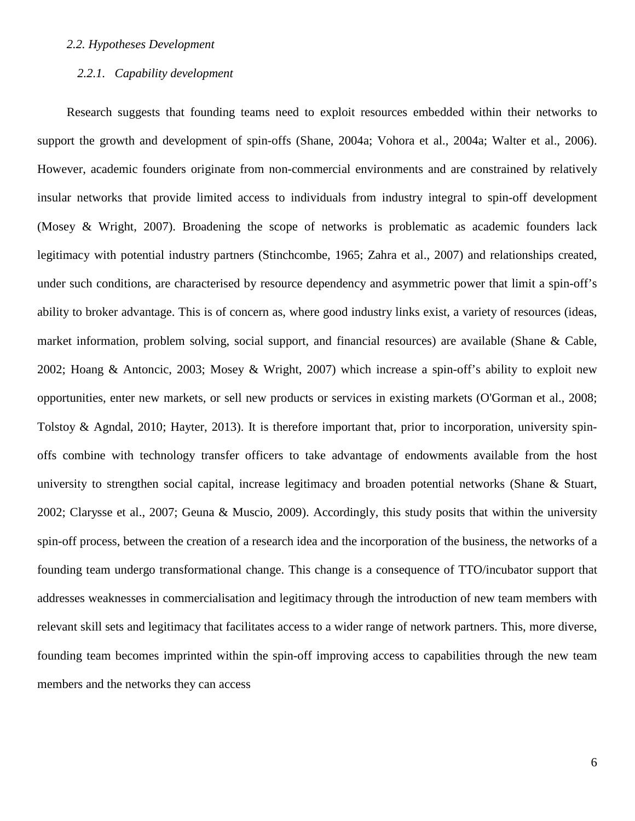#### *2.2. Hypotheses Development*

#### *2.2.1. Capability development*

Research suggests that founding teams need to exploit resources embedded within their networks to support the growth and development of spin-offs [\(Shane, 2004a;](#page-26-2) [Vohora et al., 2004a;](#page-27-0) [Walter et al., 2006\)](#page-27-1). However, academic founders originate from non-commercial environments and are constrained by relatively insular networks that provide limited access to individuals from industry integral to spin-off development [\(Mosey & Wright, 2007\)](#page-25-10). Broadening the scope of networks is problematic as academic founders lack legitimacy with potential industry partners [\(Stinchcombe, 1965;](#page-26-6) [Zahra et al., 2007\)](#page-27-3) and relationships created, under such conditions, are characterised by resource dependency and asymmetric power that limit a spin-off's ability to broker advantage. This is of concern as, where good industry links exist, a variety of resources (ideas, market information, problem solving, social support, and financial resources) are available [\(Shane & Cable,](#page-26-12)  [2002;](#page-26-12) [Hoang & Antoncic, 2003;](#page-24-5) [Mosey & Wright, 2007\)](#page-25-10) which increase a spin-off's ability to exploit new opportunities, enter new markets, or sell new products or services in existing markets [\(O'Gorman et al., 2008;](#page-25-11) [Tolstoy & Agndal, 2010;](#page-26-13) [Hayter, 2013\)](#page-24-0). It is therefore important that, prior to incorporation, university spinoffs combine with technology transfer officers to take advantage of endowments available from the host university to strengthen social capital, increase legitimacy and broaden potential networks [\(Shane & Stuart,](#page-26-10)  [2002;](#page-26-10) [Clarysse et al., 2007;](#page-23-10) [Geuna & Muscio, 2009\)](#page-24-8). Accordingly, this study posits that within the university spin-off process, between the creation of a research idea and the incorporation of the business, the networks of a founding team undergo transformational change. This change is a consequence of TTO/incubator support that addresses weaknesses in commercialisation and legitimacy through the introduction of new team members with relevant skill sets and legitimacy that facilitates access to a wider range of network partners. This, more diverse, founding team becomes imprinted within the spin-off improving access to capabilities through the new team members and the networks they can access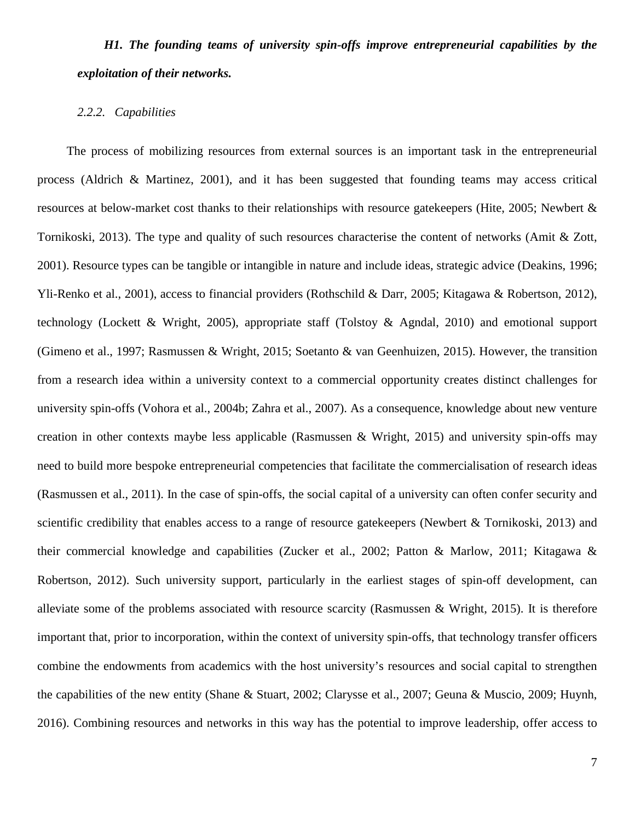# *H1. The founding teams of university spin-offs improve entrepreneurial capabilities by the exploitation of their networks.*

#### *2.2.2. Capabilities*

The process of mobilizing resources from external sources is an important task in the entrepreneurial process [\(Aldrich & Martinez, 2001\)](#page-23-11), and it has been suggested that founding teams may access critical resources at below-market cost thanks to their relationships with resource gatekeepers [\(Hite, 2005;](#page-24-9) [Newbert &](#page-25-3)  [Tornikoski, 2013\)](#page-25-3). The type and quality of such resources characterise the content of networks [\(Amit & Zott,](#page-23-3)  [2001\)](#page-23-3). Resource types can be tangible or intangible in nature and include ideas, strategic advice [\(Deakins, 1996;](#page-23-12) [Yli-Renko et al., 2001\)](#page-27-4), access to financial providers [\(Rothschild & Darr, 2005;](#page-26-14) [Kitagawa & Robertson, 2012\)](#page-25-12), technology [\(Lockett & Wright, 2005\)](#page-25-0), appropriate staff [\(Tolstoy & Agndal, 2010\)](#page-26-13) and emotional support [\(Gimeno et al., 1997;](#page-24-10) [Rasmussen & Wright, 2015;](#page-26-9) [Soetanto & van Geenhuizen, 2015\)](#page-26-11). However, the transition from a research idea within a university context to a commercial opportunity creates distinct challenges for university spin-offs [\(Vohora et al., 2004b;](#page-27-2) [Zahra et al., 2007\)](#page-27-3). As a consequence, knowledge about new venture creation in other contexts maybe less applicable [\(Rasmussen & Wright, 2015\)](#page-26-9) and university spin-offs may need to build more bespoke entrepreneurial competencies that facilitate the commercialisation of research ideas [\(Rasmussen et al., 2011\)](#page-26-3). In the case of spin-offs, the social capital of a university can often confer security and scientific credibility that enables access to a range of resource gatekeepers [\(Newbert & Tornikoski, 2013\)](#page-25-3) and their commercial knowledge and capabilities [\(Zucker et al., 2002;](#page-27-5) [Patton & Marlow, 2011;](#page-26-15) [Kitagawa &](#page-25-12)  [Robertson, 2012\)](#page-25-12). Such university support, particularly in the earliest stages of spin-off development, can alleviate some of the problems associated with resource scarcity [\(Rasmussen &](#page-26-9) Wright, 2015). It is therefore important that, prior to incorporation, within the context of university spin-offs, that technology transfer officers combine the endowments from academics with the host university's resources and social capital to strengthen the capabilities of the new entity [\(Shane & Stuart, 2002;](#page-26-10) [Clarysse et al., 2007;](#page-23-10) [Geuna & Muscio, 2009;](#page-24-8) [Huynh,](#page-24-11)  [2016\)](#page-24-11). Combining resources and networks in this way has the potential to improve leadership, offer access to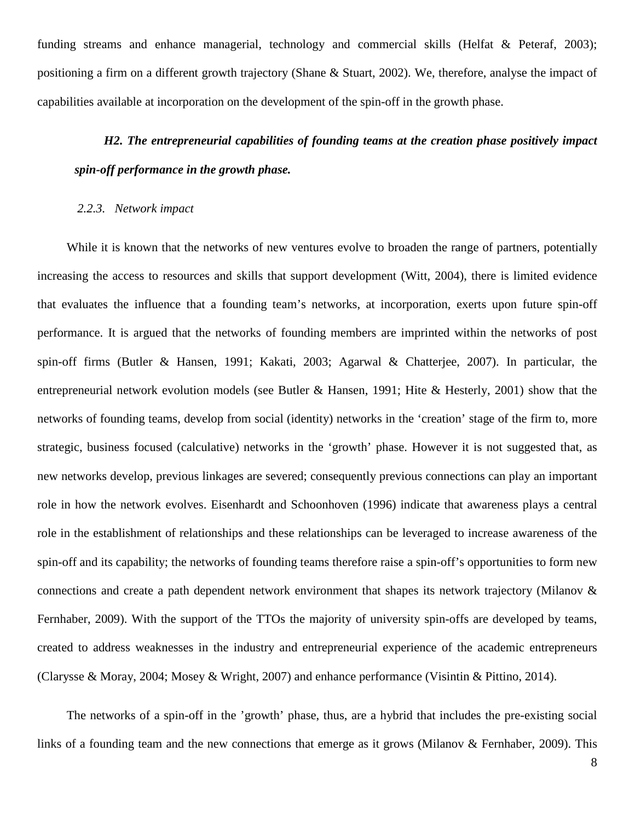funding streams and enhance managerial, technology and commercial skills [\(Helfat & Peteraf, 2003\)](#page-24-12); positioning a firm on a different growth trajectory [\(Shane & Stuart, 2002\)](#page-26-10). We, therefore, analyse the impact of capabilities available at incorporation on the development of the spin-off in the growth phase.

# *H2. The entrepreneurial capabilities of founding teams at the creation phase positively impact spin-off performance in the growth phase.*

#### *2.2.3. Network impact*

While it is known that the networks of new ventures evolve to broaden the range of partners, potentially increasing the access to resources and skills that support development [\(Witt, 2004\)](#page-27-6), there is limited evidence that evaluates the influence that a founding team's networks, at incorporation, exerts upon future spin-off performance. It is argued that the networks of founding members are imprinted within the networks of post spin-off firms [\(Butler & Hansen, 1991;](#page-23-13) [Kakati, 2003;](#page-25-9) [Agarwal & Chatterjee, 2007\)](#page-23-8). In particular, the entrepreneurial network evolution models (see [Butler & Hansen, 1991;](#page-23-13) [Hite & Hesterly, 2001\)](#page-24-13) show that the networks of founding teams, develop from social (identity) networks in the 'creation' stage of the firm to, more strategic, business focused (calculative) networks in the 'growth' phase. However it is not suggested that, as new networks develop, previous linkages are severed; consequently previous connections can play an important role in how the network evolves. [Eisenhardt and Schoonhoven \(1996\)](#page-24-14) indicate that awareness plays a central role in the establishment of relationships and these relationships can be leveraged to increase awareness of the spin-off and its capability; the networks of founding teams therefore raise a spin-off's opportunities to form new connections and create a path dependent network environment that shapes its network trajectory [\(Milanov &](#page-25-7)  [Fernhaber, 2009\)](#page-25-7). With the support of the TTOs the majority of university spin-offs are developed by teams, created to address weaknesses in the industry and entrepreneurial experience of the academic entrepreneurs [\(Clarysse & Moray, 2004;](#page-23-0) [Mosey & Wright, 2007\)](#page-25-10) and enhance performance [\(Visintin & Pittino, 2014\)](#page-26-16).

The networks of a spin-off in the 'growth' phase, thus, are a hybrid that includes the pre-existing social links of a founding team and the new connections that emerge as it grows [\(Milanov & Fernhaber, 2009\)](#page-25-7). This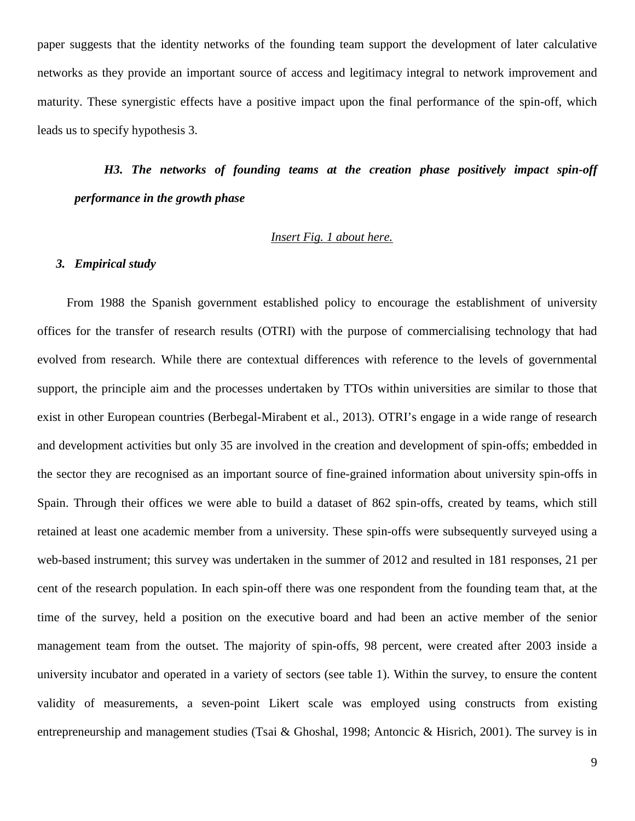paper suggests that the identity networks of the founding team support the development of later calculative networks as they provide an important source of access and legitimacy integral to network improvement and maturity. These synergistic effects have a positive impact upon the final performance of the spin-off, which leads us to specify hypothesis 3.

# *H3. The networks of founding teams at the creation phase positively impact spin-off performance in the growth phase*

#### *Insert Fig. 1 about here.*

#### *3. Empirical study*

From 1988 the Spanish government established policy to encourage the establishment of university offices for the transfer of research results (OTRI) with the purpose of commercialising technology that had evolved from research. While there are contextual differences with reference to the levels of governmental support, the principle aim and the processes undertaken by TTOs within universities are similar to those that exist in other European countries [\(Berbegal-Mirabent et al., 2013\)](#page-23-14). OTRI's engage in a wide range of research and development activities but only 35 are involved in the creation and development of spin-offs; embedded in the sector they are recognised as an important source of fine-grained information about university spin-offs in Spain. Through their offices we were able to build a dataset of 862 spin-offs, created by teams, which still retained at least one academic member from a university. These spin-offs were subsequently surveyed using a web-based instrument; this survey was undertaken in the summer of 2012 and resulted in 181 responses, 21 per cent of the research population. In each spin-off there was one respondent from the founding team that, at the time of the survey, held a position on the executive board and had been an active member of the senior management team from the outset. The majority of spin-offs, 98 percent, were created after 2003 inside a university incubator and operated in a variety of sectors (see table 1). Within the survey, to ensure the content validity of measurements, a seven-point Likert scale was employed using constructs from existing entrepreneurship and management studies [\(Tsai & Ghoshal, 1998;](#page-26-5) [Antoncic & Hisrich, 2001\)](#page-23-15). The survey is in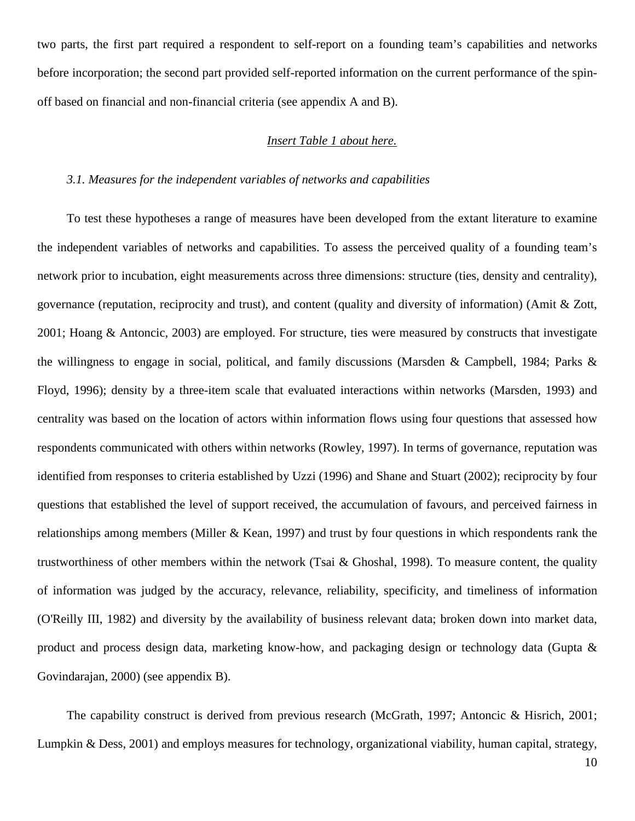two parts, the first part required a respondent to self-report on a founding team's capabilities and networks before incorporation; the second part provided self-reported information on the current performance of the spinoff based on financial and non-financial criteria (see appendix A and B).

#### *Insert Table 1 about here.*

#### *3.1. Measures for the independent variables of networks and capabilities*

To test these hypotheses a range of measures have been developed from the extant literature to examine the independent variables of networks and capabilities. To assess the perceived quality of a founding team's network prior to incubation, eight measurements across three dimensions: structure (ties, density and centrality), governance (reputation, reciprocity and trust), and content (quality and diversity of information) [\(Amit & Zott,](#page-23-3)  [2001;](#page-23-3) [Hoang & Antoncic, 2003\)](#page-24-5) are employed. For structure, ties were measured by constructs that investigate the willingness to engage in social, political, and family discussions [\(Marsden & Campbell, 1984;](#page-25-13) [Parks &](#page-26-17)  [Floyd, 1996\)](#page-26-17); density by a three-item scale that evaluated interactions within networks [\(Marsden, 1993\)](#page-25-14) and centrality was based on the location of actors within information flows using four questions that assessed how respondents communicated with others within networks [\(Rowley, 1997\)](#page-26-18). In terms of governance, reputation was identified from responses to criteria established by [Uzzi \(1996\)](#page-26-19) and [Shane and Stuart \(2002\);](#page-26-10) reciprocity by four questions that established the level of support received, the accumulation of favours, and perceived fairness in relationships among members [\(Miller & Kean, 1997\)](#page-25-15) and trust by four questions in which respondents rank the trustworthiness of other members within the network [\(Tsai & Ghoshal, 1998\)](#page-26-5). To measure content, the quality of information was judged by the accuracy, relevance, reliability, specificity, and timeliness of information (O'Reilly [III, 1982\)](#page-26-20) and diversity by the availability of business relevant data; broken down into market data, product and process design data, marketing know-how, and packaging design or technology data [\(Gupta &](#page-24-15)  [Govindarajan, 2000\)](#page-24-15) (see appendix B).

The capability construct is derived from previous research [\(McGrath, 1997;](#page-25-16) [Antoncic & Hisrich, 2001;](#page-23-15) [Lumpkin & Dess, 2001\)](#page-25-17) and employs measures for technology, organizational viability, human capital, strategy,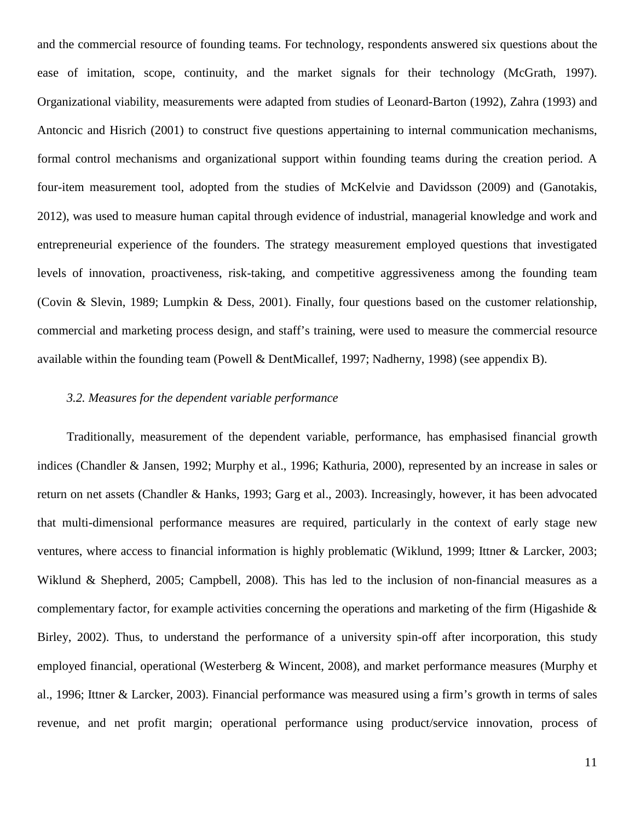and the commercial resource of founding teams. For technology, respondents answered six questions about the ease of imitation, scope, continuity, and the market signals for their technology [\(McGrath, 1997\)](#page-25-16). Organizational viability, measurements were adapted from studies of [Leonard-Barton \(1992\),](#page-25-18) [Zahra \(1993\)](#page-27-7) and [Antoncic and Hisrich \(2001\)](#page-23-15) to construct five questions appertaining to internal communication mechanisms, formal control mechanisms and organizational support within founding teams during the creation period. A four-item measurement tool, adopted from the studies of [McKelvie and Davidsson \(2009\)](#page-25-19) and [\(Ganotakis,](#page-24-16)  [2012\)](#page-24-16), was used to measure human capital through evidence of industrial, managerial knowledge and work and entrepreneurial experience of the founders. The strategy measurement employed questions that investigated levels of innovation, proactiveness, risk-taking, and competitive aggressiveness among the founding team [\(Covin & Slevin, 1989;](#page-23-16) [Lumpkin & Dess, 2001\)](#page-25-17). Finally, four questions based on the customer relationship, commercial and marketing process design, and staff's training, were used to measure the commercial resource available within the founding team [\(Powell & DentMicallef, 1997;](#page-26-21) [Nadherny, 1998\)](#page-25-20) (see appendix B).

#### *3.2. Measures for the dependent variable performance*

Traditionally, measurement of the dependent variable, performance, has emphasised financial growth indices [\(Chandler & Jansen, 1992;](#page-23-17) [Murphy et al., 1996;](#page-25-21) [Kathuria, 2000\)](#page-25-22), represented by an increase in sales or return on net assets [\(Chandler & Hanks, 1993;](#page-23-18) [Garg et al., 2003\)](#page-24-17). Increasingly, however, it has been advocated that multi-dimensional performance measures are required, particularly in the context of early stage new ventures, where access to financial information is highly problematic [\(Wiklund, 1999;](#page-27-8) [Ittner & Larcker, 2003;](#page-24-18) [Wiklund & Shepherd, 2005;](#page-27-9) [Campbell, 2008\)](#page-23-19). This has led to the inclusion of non-financial measures as a complementary factor, for example activities concerning the operations and marketing of the firm [\(Higashide &](#page-24-19)  [Birley, 2002\)](#page-24-19). Thus, to understand the performance of a university spin-off after incorporation, this study employed financial, operational [\(Westerberg & Wincent, 2008\)](#page-27-10), and market performance measures [\(Murphy et](#page-25-21)  [al., 1996;](#page-25-21) [Ittner & Larcker, 2003\)](#page-24-18). Financial performance was measured using a firm's growth in terms of sales revenue, and net profit margin; operational performance using product/service innovation, process of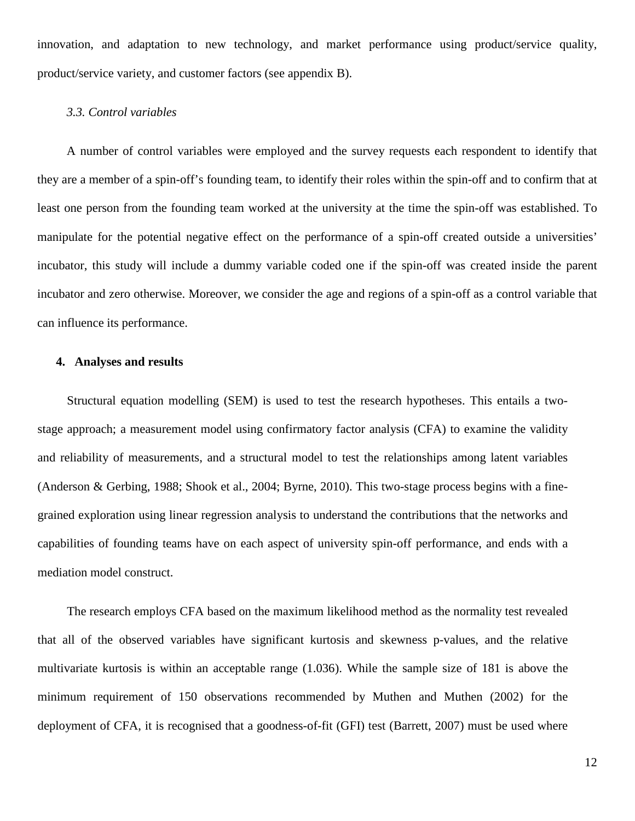innovation, and adaptation to new technology, and market performance using product/service quality, product/service variety, and customer factors (see appendix B).

#### *3.3. Control variables*

A number of control variables were employed and the survey requests each respondent to identify that they are a member of a spin-off's founding team, to identify their roles within the spin-off and to confirm that at least one person from the founding team worked at the university at the time the spin-off was established. To manipulate for the potential negative effect on the performance of a spin-off created outside a universities' incubator, this study will include a dummy variable coded one if the spin-off was created inside the parent incubator and zero otherwise. Moreover, we consider the age and regions of a spin-off as a control variable that can influence its performance.

#### **4. Analyses and results**

Structural equation modelling (SEM) is used to test the research hypotheses. This entails a twostage approach; a measurement model using confirmatory factor analysis (CFA) to examine the validity and reliability of measurements, and a structural model to test the relationships among latent variables [\(Anderson & Gerbing, 1988;](#page-23-20) [Shook et al., 2004;](#page-26-22) [Byrne, 2010\)](#page-23-21). This two-stage process begins with a finegrained exploration using linear regression analysis to understand the contributions that the networks and capabilities of founding teams have on each aspect of university spin-off performance, and ends with a mediation model construct.

The research employs CFA based on the maximum likelihood method as the normality test revealed that all of the observed variables have significant kurtosis and skewness p-values, and the relative multivariate kurtosis is within an acceptable range (1.036). While the sample size of 181 is above the minimum requirement of 150 observations recommended by [Muthen and Muthen \(2002\)](#page-25-23) for the deployment of CFA, it is recognised that a goodness-of-fit (GFI) test [\(Barrett, 2007\)](#page-23-22) must be used where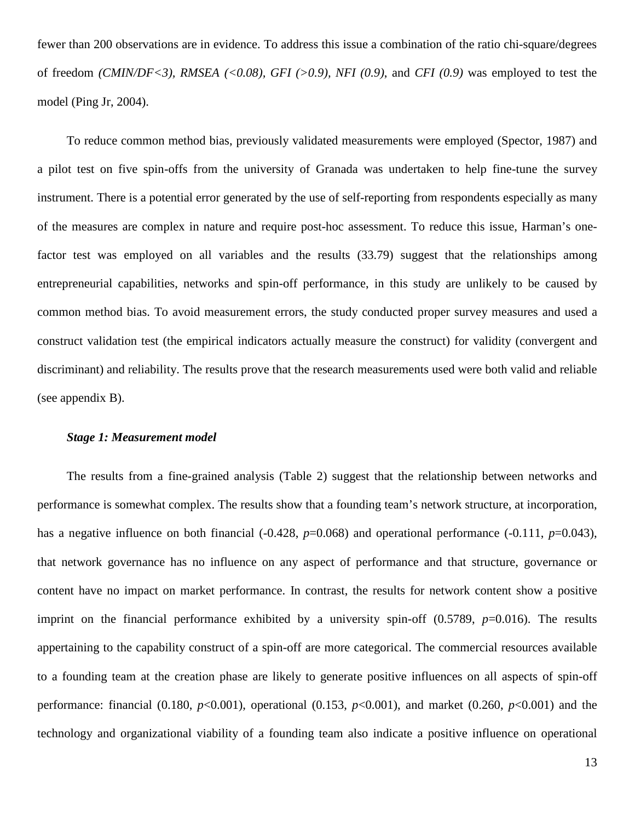fewer than 200 observations are in evidence. To address this issue a combination of the ratio chi-square/degrees of freedom *(CMIN/DF<3), RMSEA (<0.08), GFI (>0.9), NFI (0.9)*, and *CFI (0.9)* was employed to test the model [\(Ping Jr, 2004\)](#page-26-23).

To reduce common method bias, previously validated measurements were employed [\(Spector, 1987\)](#page-26-24) and a pilot test on five spin-offs from the university of Granada was undertaken to help fine-tune the survey instrument. There is a potential error generated by the use of self-reporting from respondents especially as many of the measures are complex in nature and require post-hoc assessment. To reduce this issue, Harman's onefactor test was employed on all variables and the results (33.79) suggest that the relationships among entrepreneurial capabilities, networks and spin-off performance, in this study are unlikely to be caused by common method bias. To avoid measurement errors, the study conducted proper survey measures and used a construct validation test (the empirical indicators actually measure the construct) for validity (convergent and discriminant) and reliability. The results prove that the research measurements used were both valid and reliable (see appendix B).

#### *Stage 1: Measurement model*

The results from a fine-grained analysis (Table 2) suggest that the relationship between networks and performance is somewhat complex. The results show that a founding team's network structure, at incorporation, has a negative influence on both financial (-0.428, *p*=0.068) and operational performance (-0.111, *p*=0.043), that network governance has no influence on any aspect of performance and that structure, governance or content have no impact on market performance. In contrast, the results for network content show a positive imprint on the financial performance exhibited by a university spin-off  $(0.5789, p=0.016)$ . The results appertaining to the capability construct of a spin-off are more categorical. The commercial resources available to a founding team at the creation phase are likely to generate positive influences on all aspects of spin-off performance: financial (0.180, *p*<0.001), operational (0.153, *p*<0.001), and market (0.260, *p*<0.001) and the technology and organizational viability of a founding team also indicate a positive influence on operational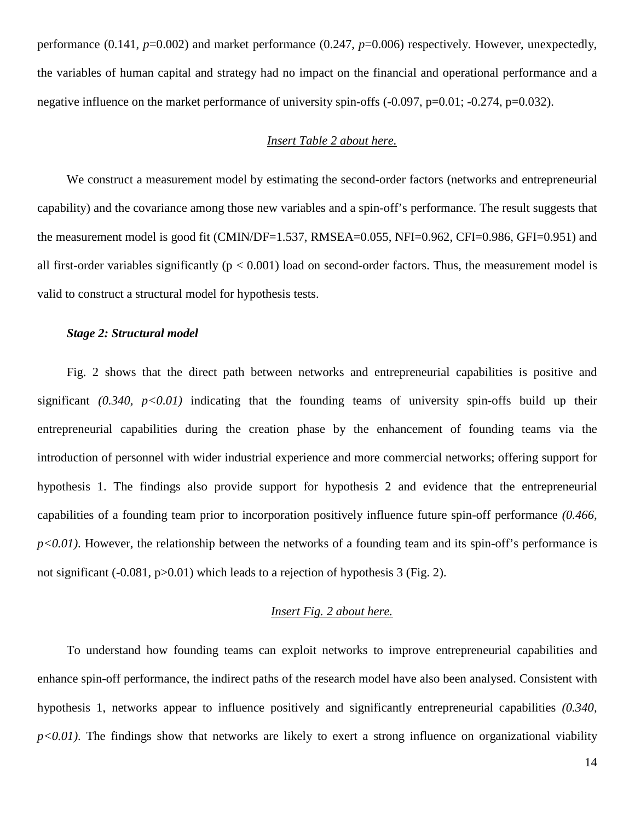performance (0.141, *p*=0.002) and market performance (0.247, *p*=0.006) respectively. However, unexpectedly, the variables of human capital and strategy had no impact on the financial and operational performance and a negative influence on the market performance of university spin-offs (-0.097, p=0.01; -0.274, p=0.032).

#### *Insert Table 2 about here.*

We construct a measurement model by estimating the second-order factors (networks and entrepreneurial capability) and the covariance among those new variables and a spin-off's performance. The result suggests that the measurement model is good fit (CMIN/DF=1.537, RMSEA=0.055, NFI=0.962, CFI=0.986, GFI=0.951) and all first-order variables significantly ( $p < 0.001$ ) load on second-order factors. Thus, the measurement model is valid to construct a structural model for hypothesis tests.

#### *Stage 2: Structural model*

Fig. 2 shows that the direct path between networks and entrepreneurial capabilities is positive and significant  $(0.340, p<0.01)$  indicating that the founding teams of university spin-offs build up their entrepreneurial capabilities during the creation phase by the enhancement of founding teams via the introduction of personnel with wider industrial experience and more commercial networks; offering support for hypothesis 1. The findings also provide support for hypothesis 2 and evidence that the entrepreneurial capabilities of a founding team prior to incorporation positively influence future spin-off performance *(0.466, p*<0.01). However, the relationship between the networks of a founding team and its spin-off's performance is not significant  $(-0.081, p>0.01)$  which leads to a rejection of hypothesis 3 (Fig. 2).

#### *Insert Fig. 2 about here.*

To understand how founding teams can exploit networks to improve entrepreneurial capabilities and enhance spin-off performance, the indirect paths of the research model have also been analysed. Consistent with hypothesis 1, networks appear to influence positively and significantly entrepreneurial capabilities *(0.340,*   $p<0.01$ ). The findings show that networks are likely to exert a strong influence on organizational viability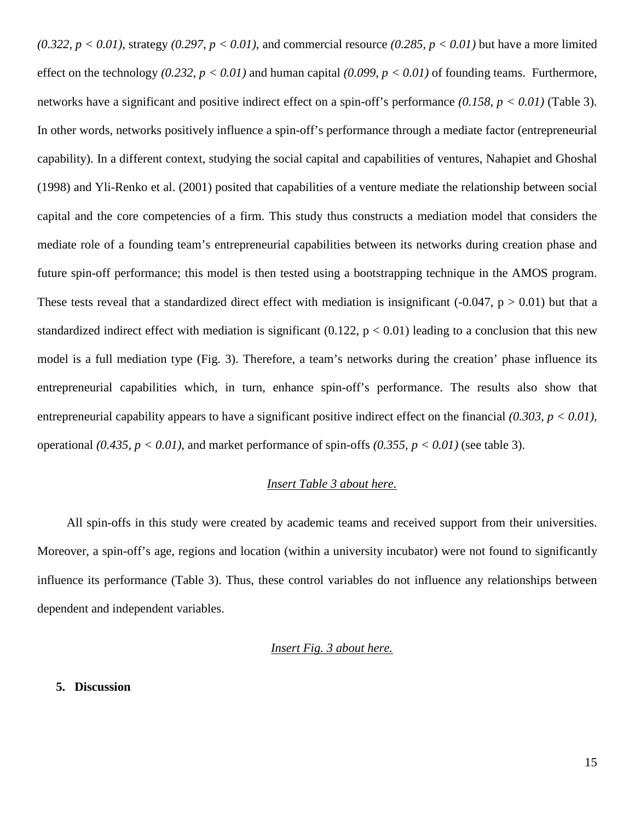*(0.322, p < 0.01),* strategy *(0.297, p < 0.01),* and commercial resource *(0.285, p < 0.01)* but have a more limited effect on the technology  $(0.232, p < 0.01)$  and human capital  $(0.099, p < 0.01)$  of founding teams. Furthermore, networks have a significant and positive indirect effect on a spin-off's performance *(0.158, p < 0.01)* (Table 3). In other words, networks positively influence a spin-off's performance through a mediate factor (entrepreneurial capability). In a different context, studying the social capital and capabilities of ventures, [Nahapiet and Ghoshal](#page-25-24)  (1998) and [Yli-Renko et al. \(2001\)](#page-27-4) posited that capabilities of a venture mediate the relationship between social capital and the core competencies of a firm. This study thus constructs a mediation model that considers the mediate role of a founding team's entrepreneurial capabilities between its networks during creation phase and future spin-off performance; this model is then tested using a bootstrapping technique in the AMOS program. These tests reveal that a standardized direct effect with mediation is insignificant (-0.047,  $p > 0.01$ ) but that a standardized indirect effect with mediation is significant  $(0.122, p < 0.01)$  leading to a conclusion that this new model is a full mediation type (Fig. 3). Therefore, a team's networks during the creation' phase influence its entrepreneurial capabilities which, in turn, enhance spin-off's performance. The results also show that entrepreneurial capability appears to have a significant positive indirect effect on the financial *(0.303, p < 0.01),* operational  $(0.435, p < 0.01)$ , and market performance of spin-offs  $(0.355, p < 0.01)$  (see table 3).

#### *Insert Table 3 about here.*

All spin-offs in this study were created by academic teams and received support from their universities. Moreover, a spin-off's age, regions and location (within a university incubator) were not found to significantly influence its performance (Table 3). Thus, these control variables do not influence any relationships between dependent and independent variables.

#### *Insert Fig. 3 about here.*

#### **5. Discussion**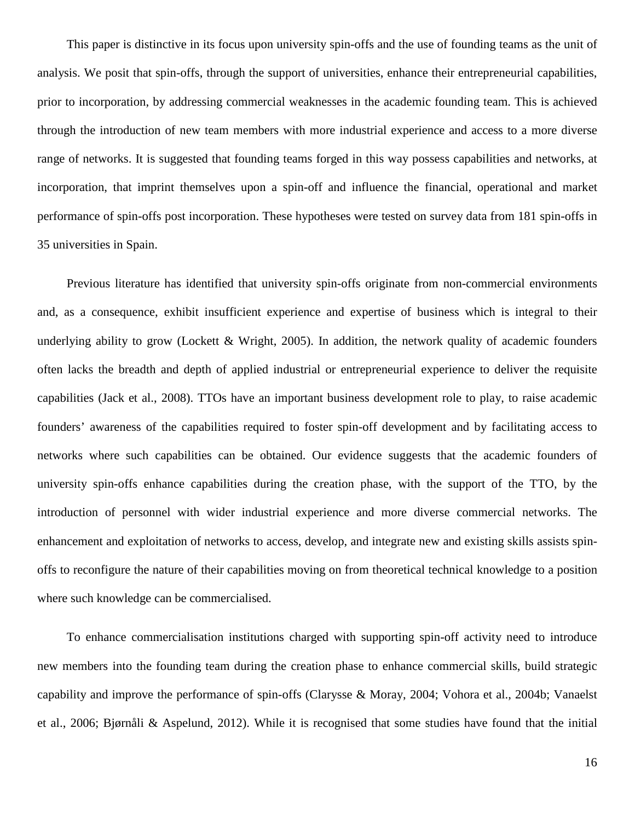This paper is distinctive in its focus upon university spin-offs and the use of founding teams as the unit of analysis. We posit that spin-offs, through the support of universities, enhance their entrepreneurial capabilities, prior to incorporation, by addressing commercial weaknesses in the academic founding team. This is achieved through the introduction of new team members with more industrial experience and access to a more diverse range of networks. It is suggested that founding teams forged in this way possess capabilities and networks, at incorporation, that imprint themselves upon a spin-off and influence the financial, operational and market performance of spin-offs post incorporation. These hypotheses were tested on survey data from 181 spin-offs in 35 universities in Spain.

Previous literature has identified that university spin-offs originate from non-commercial environments and, as a consequence, exhibit insufficient experience and expertise of business which is integral to their underlying ability to grow [\(Lockett & Wright, 2005\)](#page-25-0). In addition, the network quality of academic founders often lacks the breadth and depth of applied industrial or entrepreneurial experience to deliver the requisite capabilities [\(Jack et al., 2008\)](#page-25-25). TTOs have an important business development role to play, to raise academic founders' awareness of the capabilities required to foster spin-off development and by facilitating access to networks where such capabilities can be obtained. Our evidence suggests that the academic founders of university spin-offs enhance capabilities during the creation phase, with the support of the TTO, by the introduction of personnel with wider industrial experience and more diverse commercial networks. The enhancement and exploitation of networks to access, develop, and integrate new and existing skills assists spinoffs to reconfigure the nature of their capabilities moving on from theoretical technical knowledge to a position where such knowledge can be commercialised.

To enhance commercialisation institutions charged with supporting spin-off activity need to introduce new members into the founding team during the creation phase to enhance commercial skills, build strategic capability and improve the performance of spin-offs [\(Clarysse & Moray, 2004;](#page-23-0) [Vohora et al., 2004b;](#page-27-2) [Vanaelst](#page-26-4)  [et al., 2006;](#page-26-4) [Bjørnåli & Aspelund, 2012\)](#page-23-23). While it is recognised that some studies have found that the initial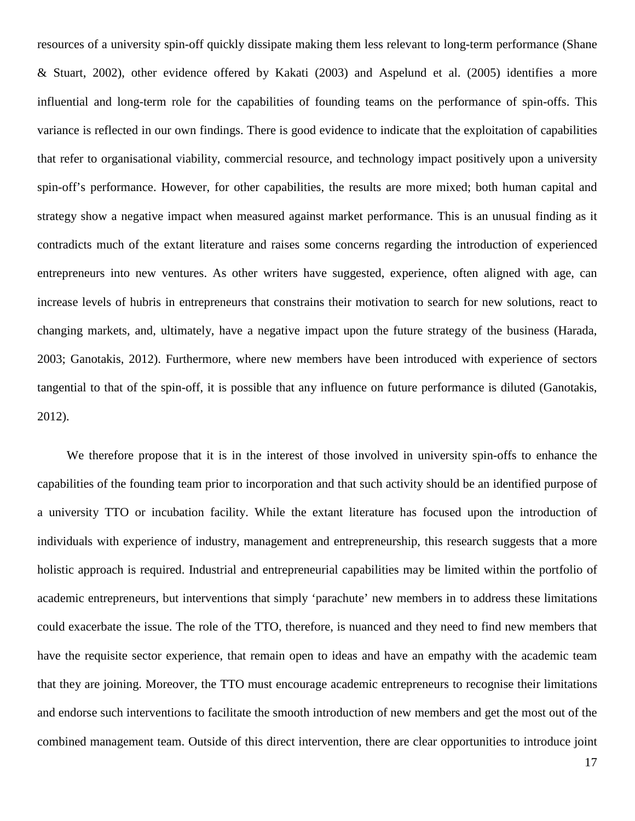resources of a university spin-off quickly dissipate making them less relevant to long-term performance [\(Shane](#page-26-10)  [& Stuart, 2002\)](#page-26-10), other evidence offered by [Kakati \(2003\)](#page-25-9) and [Aspelund et al. \(2005\)](#page-23-24) identifies a more influential and long-term role for the capabilities of founding teams on the performance of spin-offs. This variance is reflected in our own findings. There is good evidence to indicate that the exploitation of capabilities that refer to organisational viability, commercial resource, and technology impact positively upon a university spin-off's performance. However, for other capabilities, the results are more mixed; both human capital and strategy show a negative impact when measured against market performance. This is an unusual finding as it contradicts much of the extant literature and raises some concerns regarding the introduction of experienced entrepreneurs into new ventures. As other writers have suggested, experience, often aligned with age, can increase levels of hubris in entrepreneurs that constrains their motivation to search for new solutions, react to changing markets, and, ultimately, have a negative impact upon the future strategy of the business [\(Harada,](#page-24-20)  [2003;](#page-24-20) [Ganotakis, 2012\)](#page-24-16). Furthermore, where new members have been introduced with experience of sectors tangential to that of the spin-off, it is possible that any influence on future performance is diluted [\(Ganotakis,](#page-24-16)  [2012\)](#page-24-16).

We therefore propose that it is in the interest of those involved in university spin-offs to enhance the capabilities of the founding team prior to incorporation and that such activity should be an identified purpose of a university TTO or incubation facility. While the extant literature has focused upon the introduction of individuals with experience of industry, management and entrepreneurship, this research suggests that a more holistic approach is required. Industrial and entrepreneurial capabilities may be limited within the portfolio of academic entrepreneurs, but interventions that simply 'parachute' new members in to address these limitations could exacerbate the issue. The role of the TTO, therefore, is nuanced and they need to find new members that have the requisite sector experience, that remain open to ideas and have an empathy with the academic team that they are joining. Moreover, the TTO must encourage academic entrepreneurs to recognise their limitations and endorse such interventions to facilitate the smooth introduction of new members and get the most out of the combined management team. Outside of this direct intervention, there are clear opportunities to introduce joint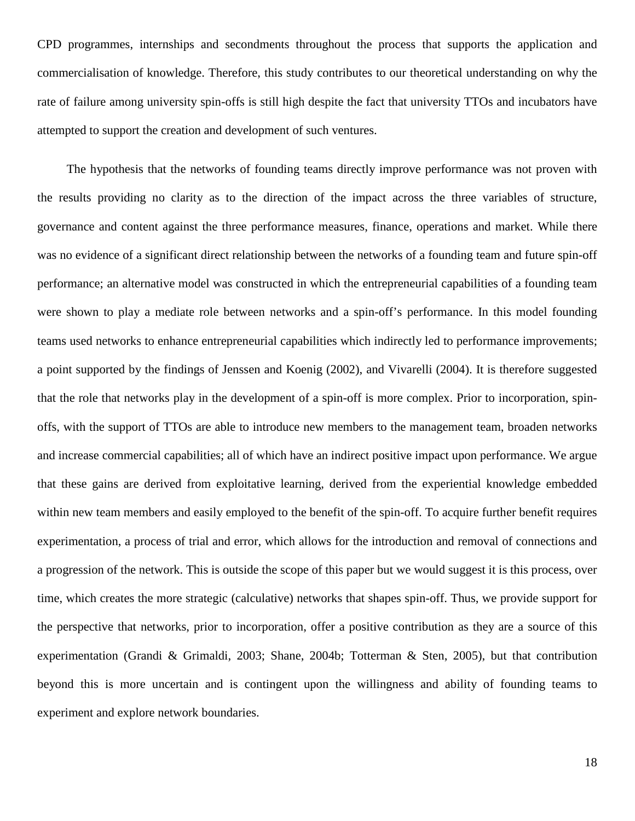CPD programmes, internships and secondments throughout the process that supports the application and commercialisation of knowledge. Therefore, this study contributes to our theoretical understanding on why the rate of failure among university spin-offs is still high despite the fact that university TTOs and incubators have attempted to support the creation and development of such ventures.

The hypothesis that the networks of founding teams directly improve performance was not proven with the results providing no clarity as to the direction of the impact across the three variables of structure, governance and content against the three performance measures, finance, operations and market. While there was no evidence of a significant direct relationship between the networks of a founding team and future spin-off performance; an alternative model was constructed in which the entrepreneurial capabilities of a founding team were shown to play a mediate role between networks and a spin-off's performance. In this model founding teams used networks to enhance entrepreneurial capabilities which indirectly led to performance improvements; a point supported by the findings of [Jenssen and Koenig \(2002\),](#page-25-26) and [Vivarelli \(2004\).](#page-26-25) It is therefore suggested that the role that networks play in the development of a spin-off is more complex. Prior to incorporation, spinoffs, with the support of TTOs are able to introduce new members to the management team, broaden networks and increase commercial capabilities; all of which have an indirect positive impact upon performance. We argue that these gains are derived from exploitative learning, derived from the experiential knowledge embedded within new team members and easily employed to the benefit of the spin-off. To acquire further benefit requires experimentation, a process of trial and error, which allows for the introduction and removal of connections and a progression of the network. This is outside the scope of this paper but we would suggest it is this process, over time, which creates the more strategic (calculative) networks that shapes spin-off. Thus, we provide support for the perspective that networks, prior to incorporation, offer a positive contribution as they are a source of this experimentation [\(Grandi & Grimaldi, 2003;](#page-24-21) [Shane, 2004b;](#page-26-26) [Totterman & Sten, 2005\)](#page-26-27), but that contribution beyond this is more uncertain and is contingent upon the willingness and ability of founding teams to experiment and explore network boundaries.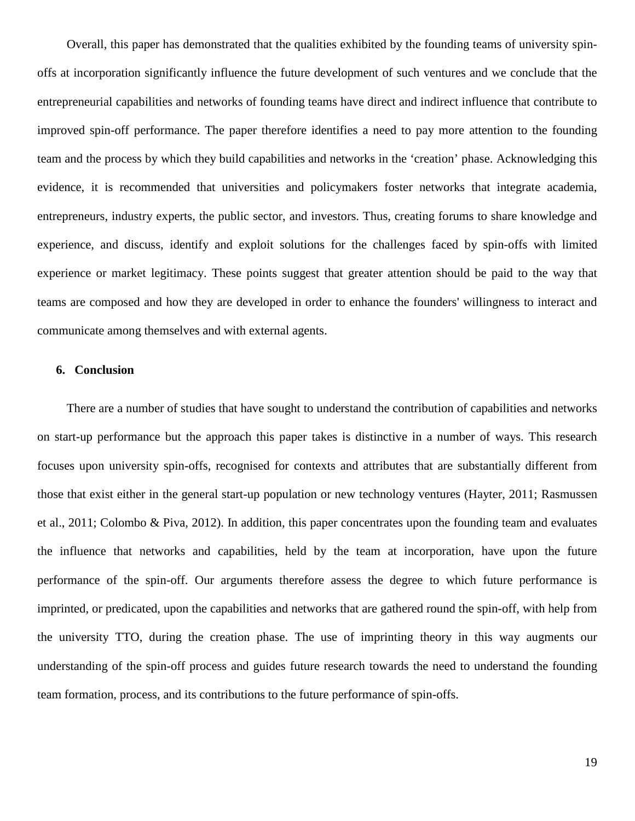Overall, this paper has demonstrated that the qualities exhibited by the founding teams of university spinoffs at incorporation significantly influence the future development of such ventures and we conclude that the entrepreneurial capabilities and networks of founding teams have direct and indirect influence that contribute to improved spin-off performance. The paper therefore identifies a need to pay more attention to the founding team and the process by which they build capabilities and networks in the 'creation' phase. Acknowledging this evidence, it is recommended that universities and policymakers foster networks that integrate academia, entrepreneurs, industry experts, the public sector, and investors. Thus, creating forums to share knowledge and experience, and discuss, identify and exploit solutions for the challenges faced by spin-offs with limited experience or market legitimacy. These points suggest that greater attention should be paid to the way that teams are composed and how they are developed in order to enhance the founders' willingness to interact and communicate among themselves and with external agents.

#### **6. Conclusion**

There are a number of studies that have sought to understand the contribution of capabilities and networks on start-up performance but the approach this paper takes is distinctive in a number of ways. This research focuses upon university spin-offs, recognised for contexts and attributes that are substantially different from those that exist either in the general start-up population or new technology ventures [\(Hayter, 2011;](#page-24-6) [Rasmussen](#page-26-3)  [et al., 2011;](#page-26-3) [Colombo & Piva, 2012\)](#page-23-6). In addition, this paper concentrates upon the founding team and evaluates the influence that networks and capabilities, held by the team at incorporation, have upon the future performance of the spin-off. Our arguments therefore assess the degree to which future performance is imprinted, or predicated, upon the capabilities and networks that are gathered round the spin-off, with help from the university TTO, during the creation phase. The use of imprinting theory in this way augments our understanding of the spin-off process and guides future research towards the need to understand the founding team formation, process, and its contributions to the future performance of spin-offs.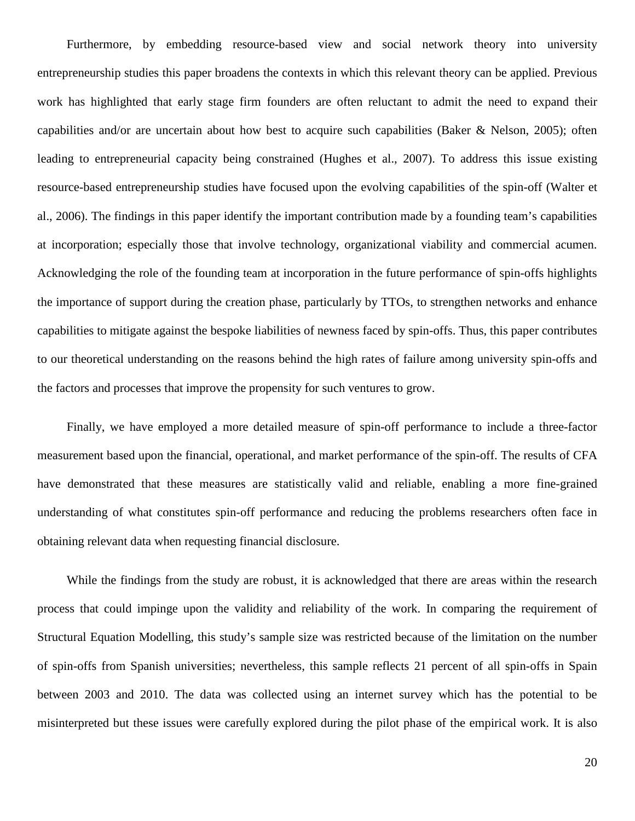Furthermore, by embedding resource-based view and social network theory into university entrepreneurship studies this paper broadens the contexts in which this relevant theory can be applied. Previous work has highlighted that early stage firm founders are often reluctant to admit the need to expand their capabilities and/or are uncertain about how best to acquire such capabilities [\(Baker & Nelson, 2005\)](#page-23-25); often leading to entrepreneurial capacity being constrained [\(Hughes et al., 2007\)](#page-24-22). To address this issue existing resource-based entrepreneurship studies have focused upon the evolving capabilities of the spin-off [\(Walter et](#page-27-1)  [al., 2006\)](#page-27-1). The findings in this paper identify the important contribution made by a founding team's capabilities at incorporation; especially those that involve technology, organizational viability and commercial acumen. Acknowledging the role of the founding team at incorporation in the future performance of spin-offs highlights the importance of support during the creation phase, particularly by TTOs, to strengthen networks and enhance capabilities to mitigate against the bespoke liabilities of newness faced by spin-offs. Thus, this paper contributes to our theoretical understanding on the reasons behind the high rates of failure among university spin-offs and the factors and processes that improve the propensity for such ventures to grow.

Finally, we have employed a more detailed measure of spin-off performance to include a three-factor measurement based upon the financial, operational, and market performance of the spin-off. The results of CFA have demonstrated that these measures are statistically valid and reliable, enabling a more fine-grained understanding of what constitutes spin-off performance and reducing the problems researchers often face in obtaining relevant data when requesting financial disclosure.

While the findings from the study are robust, it is acknowledged that there are areas within the research process that could impinge upon the validity and reliability of the work. In comparing the requirement of Structural Equation Modelling, this study's sample size was restricted because of the limitation on the number of spin-offs from Spanish universities; nevertheless, this sample reflects 21 percent of all spin-offs in Spain between 2003 and 2010. The data was collected using an internet survey which has the potential to be misinterpreted but these issues were carefully explored during the pilot phase of the empirical work. It is also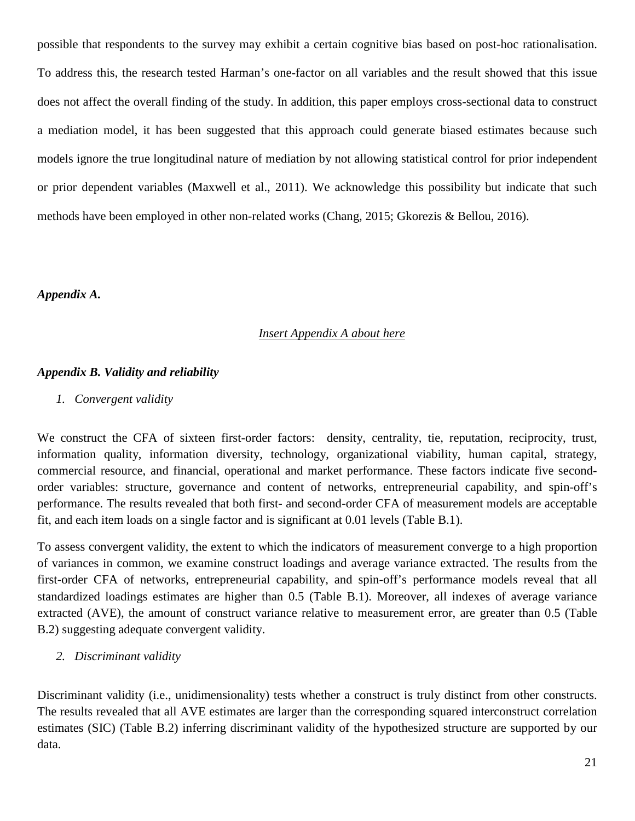possible that respondents to the survey may exhibit a certain cognitive bias based on post-hoc rationalisation. To address this, the research tested Harman's one-factor on all variables and the result showed that this issue does not affect the overall finding of the study. In addition, this paper employs cross-sectional data to construct a mediation model, it has been suggested that this approach could generate biased estimates because such models ignore the true longitudinal nature of mediation by not allowing statistical control for prior independent or prior dependent variables [\(Maxwell et al., 2011\)](#page-25-27). We acknowledge this possibility but indicate that such methods have been employed in other non-related works [\(Chang, 2015;](#page-23-26) [Gkorezis & Bellou, 2016\)](#page-24-23).

#### *Appendix A.*

#### *Insert Appendix A about here*

#### *Appendix B. Validity and reliability*

*1. Convergent validity*

We construct the CFA of sixteen first-order factors: density, centrality, tie, reputation, reciprocity, trust, information quality, information diversity, technology, organizational viability, human capital, strategy, commercial resource, and financial, operational and market performance. These factors indicate five secondorder variables: structure, governance and content of networks, entrepreneurial capability, and spin-off's performance. The results revealed that both first- and second-order CFA of measurement models are acceptable fit, and each item loads on a single factor and is significant at 0.01 levels (Table B.1).

To assess convergent validity, the extent to which the indicators of measurement converge to a high proportion of variances in common, we examine construct loadings and average variance extracted. The results from the first-order CFA of networks, entrepreneurial capability, and spin-off's performance models reveal that all standardized loadings estimates are higher than 0.5 (Table B.1). Moreover, all indexes of average variance extracted (AVE), the amount of construct variance relative to measurement error, are greater than 0.5 (Table B.2) suggesting adequate convergent validity.

*2. Discriminant validity*

Discriminant validity (i.e., unidimensionality) tests whether a construct is truly distinct from other constructs. The results revealed that all AVE estimates are larger than the corresponding squared interconstruct correlation estimates (SIC) (Table B.2) inferring discriminant validity of the hypothesized structure are supported by our data.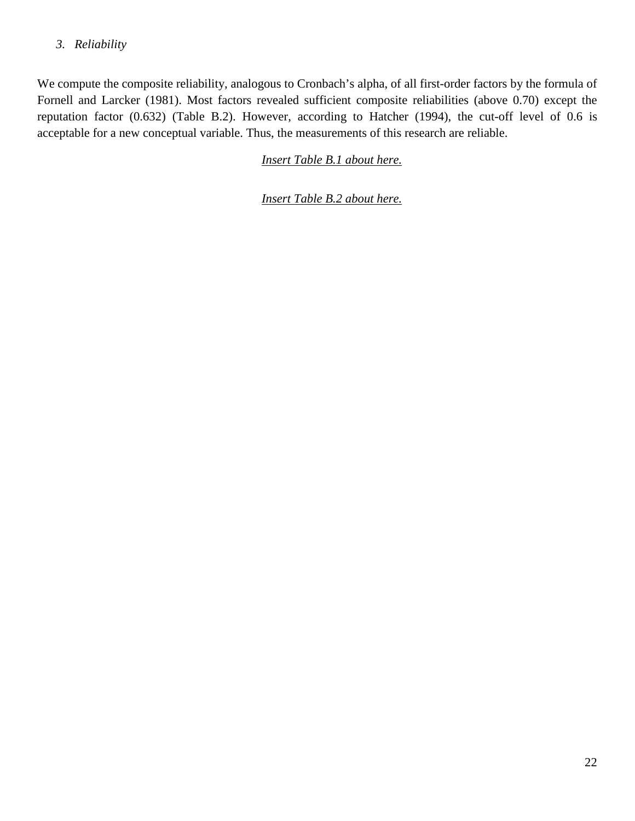# *3. Reliability*

We compute the composite reliability, analogous to Cronbach's alpha, of all first-order factors by the formula of [Fornell and Larcker \(1981\).](#page-24-24) Most factors revealed sufficient composite reliabilities (above 0.70) except the reputation factor (0.632) (Table B.2). However, according to [Hatcher \(1994\),](#page-24-25) the cut-off level of 0.6 is acceptable for a new conceptual variable. Thus, the measurements of this research are reliable.

### *Insert Table B.1 about here.*

*Insert Table B.2 about here.*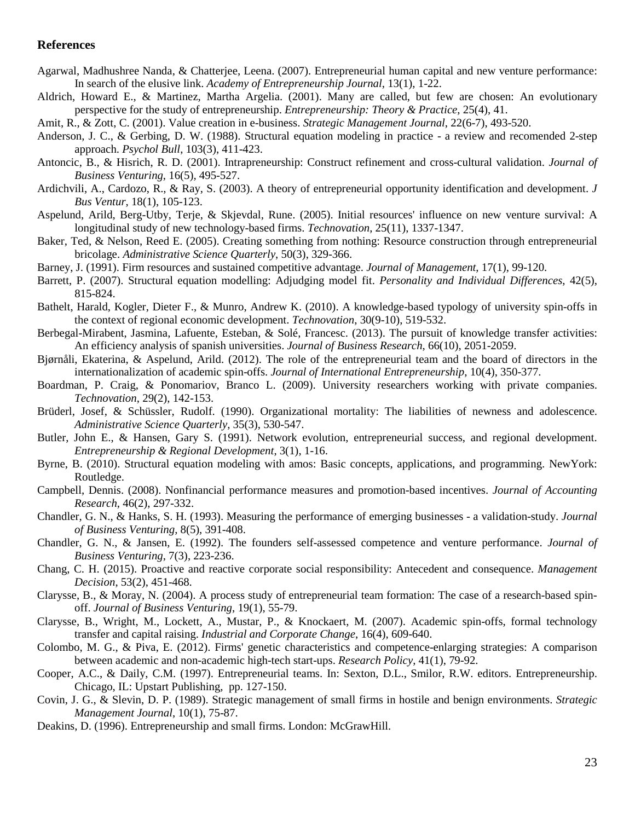#### **References**

- <span id="page-23-8"></span>Agarwal, Madhushree Nanda, & Chatterjee, Leena. (2007). Entrepreneurial human capital and new venture performance: In search of the elusive link. *Academy of Entrepreneurship Journal*, 13(1), 1-22.
- <span id="page-23-11"></span>Aldrich, Howard E., & Martinez, Martha Argelia. (2001). Many are called, but few are chosen: An evolutionary perspective for the study of entrepreneurship. *Entrepreneurship: Theory & Practice*, 25(4), 41.
- <span id="page-23-3"></span>Amit, R., & Zott, C. (2001). Value creation in e-business. *Strategic Management Journal*, 22(6-7), 493-520.
- <span id="page-23-20"></span>Anderson, J. C., & Gerbing, D. W. (1988). Structural equation modeling in practice - a review and recomended 2-step approach. *Psychol Bull*, 103(3), 411-423.
- <span id="page-23-15"></span>Antoncic, B., & Hisrich, R. D. (2001). Intrapreneurship: Construct refinement and cross-cultural validation. *Journal of Business Venturing*, 16(5), 495-527.
- <span id="page-23-4"></span>Ardichvili, A., Cardozo, R., & Ray, S. (2003). A theory of entrepreneurial opportunity identification and development. *J Bus Ventur*, 18(1), 105-123.
- <span id="page-23-24"></span>Aspelund, Arild, Berg-Utby, Terje, & Skjevdal, Rune. (2005). Initial resources' influence on new venture survival: A longitudinal study of new technology-based firms. *Technovation*, 25(11), 1337-1347.
- <span id="page-23-25"></span>Baker, Ted, & Nelson, Reed E. (2005). Creating something from nothing: Resource construction through entrepreneurial bricolage. *Administrative Science Quarterly*, 50(3), 329-366.
- <span id="page-23-2"></span>Barney, J. (1991). Firm resources and sustained competitive advantage. *Journal of Management*, 17(1), 99-120.
- <span id="page-23-22"></span>Barrett, P. (2007). Structural equation modelling: Adjudging model fit. *Personality and Individual Differences*, 42(5), 815-824.
- <span id="page-23-9"></span>Bathelt, Harald, Kogler, Dieter F., & Munro, Andrew K. (2010). A knowledge-based typology of university spin-offs in the context of regional economic development. *Technovation*, 30(9-10), 519-532.
- <span id="page-23-14"></span>Berbegal-Mirabent, Jasmina, Lafuente, Esteban, & Solé, Francesc. (2013). The pursuit of knowledge transfer activities: An efficiency analysis of spanish universities. *Journal of Business Research*, 66(10), 2051-2059.
- <span id="page-23-23"></span>Bjørnåli, Ekaterina, & Aspelund, Arild. (2012). The role of the entrepreneurial team and the board of directors in the internationalization of academic spin-offs. *Journal of International Entrepreneurship*, 10(4), 350-377.
- <span id="page-23-5"></span>Boardman, P. Craig, & Ponomariov, Branco L. (2009). University researchers working with private companies. *Technovation*, 29(2), 142-153.
- <span id="page-23-7"></span>Brüderl, Josef, & Schüssler, Rudolf. (1990). Organizational mortality: The liabilities of newness and adolescence. *Administrative Science Quarterly*, 35(3), 530-547.
- <span id="page-23-13"></span>Butler, John E., & Hansen, Gary S. (1991). Network evolution, entrepreneurial success, and regional development. *Entrepreneurship & Regional Development*, 3(1), 1-16.
- <span id="page-23-21"></span>Byrne, B. (2010). Structural equation modeling with amos: Basic concepts, applications, and programming. NewYork: Routledge.
- <span id="page-23-19"></span>Campbell, Dennis. (2008). Nonfinancial performance measures and promotion-based incentives. *Journal of Accounting Research*, 46(2), 297-332.
- <span id="page-23-18"></span>Chandler, G. N., & Hanks, S. H. (1993). Measuring the performance of emerging businesses - a validation-study. *Journal of Business Venturing*, 8(5), 391-408.
- <span id="page-23-17"></span>Chandler, G. N., & Jansen, E. (1992). The founders self-assessed competence and venture performance. *Journal of Business Venturing*, 7(3), 223-236.
- <span id="page-23-26"></span>Chang, C. H. (2015). Proactive and reactive corporate social responsibility: Antecedent and consequence. *Management Decision*, 53(2), 451-468.
- <span id="page-23-0"></span>Clarysse, B., & Moray, N. (2004). A process study of entrepreneurial team formation: The case of a research-based spinoff. *Journal of Business Venturing*, 19(1), 55-79.
- <span id="page-23-10"></span>Clarysse, B., Wright, M., Lockett, A., Mustar, P., & Knockaert, M. (2007). Academic spin-offs, formal technology transfer and capital raising. *Industrial and Corporate Change*, 16(4), 609-640.
- <span id="page-23-6"></span>Colombo, M. G., & Piva, E. (2012). Firms' genetic characteristics and competence-enlarging strategies: A comparison between academic and non-academic high-tech start-ups. *Research Policy*, 41(1), 79-92.
- <span id="page-23-1"></span>Cooper, A.C., & Daily, C.M. (1997). Entrepreneurial teams. In: Sexton, D.L., Smilor, R.W. editors. Entrepreneurship. Chicago, IL: Upstart Publishing, pp. 127-150.
- <span id="page-23-16"></span>Covin, J. G., & Slevin, D. P. (1989). Strategic management of small firms in hostile and benign environments. *Strategic Management Journal*, 10(1), 75-87.
- <span id="page-23-12"></span>Deakins, D. (1996). Entrepreneurship and small firms. London: McGrawHill.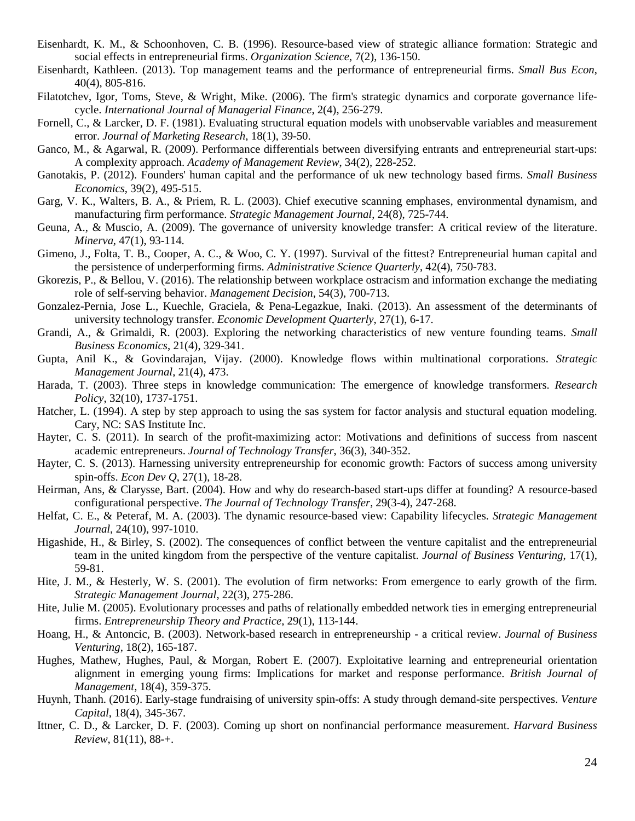- <span id="page-24-14"></span>Eisenhardt, K. M., & Schoonhoven, C. B. (1996). Resource-based view of strategic alliance formation: Strategic and social effects in entrepreneurial firms. *Organization Science*, 7(2), 136-150.
- <span id="page-24-1"></span>Eisenhardt, Kathleen. (2013). Top management teams and the performance of entrepreneurial firms. *Small Bus Econ*, 40(4), 805-816.
- <span id="page-24-4"></span>Filatotchev, Igor, Toms, Steve, & Wright, Mike. (2006). The firm's strategic dynamics and corporate governance lifecycle. *International Journal of Managerial Finance*, 2(4), 256-279.
- <span id="page-24-24"></span>Fornell, C., & Larcker, D. F. (1981). Evaluating structural equation models with unobservable variables and measurement error. *Journal of Marketing Research*, 18(1), 39-50.
- <span id="page-24-7"></span>Ganco, M., & Agarwal, R. (2009). Performance differentials between diversifying entrants and entrepreneurial start-ups: A complexity approach. *Academy of Management Review*, 34(2), 228-252.
- <span id="page-24-16"></span>Ganotakis, P. (2012). Founders' human capital and the performance of uk new technology based firms. *Small Business Economics*, 39(2), 495-515.
- <span id="page-24-17"></span>Garg, V. K., Walters, B. A., & Priem, R. L. (2003). Chief executive scanning emphases, environmental dynamism, and manufacturing firm performance. *Strategic Management Journal*, 24(8), 725-744.
- <span id="page-24-8"></span>Geuna, A., & Muscio, A. (2009). The governance of university knowledge transfer: A critical review of the literature. *Minerva*, 47(1), 93-114.
- <span id="page-24-10"></span>Gimeno, J., Folta, T. B., Cooper, A. C., & Woo, C. Y. (1997). Survival of the fittest? Entrepreneurial human capital and the persistence of underperforming firms. *Administrative Science Quarterly*, 42(4), 750-783.
- <span id="page-24-23"></span>Gkorezis, P., & Bellou, V. (2016). The relationship between workplace ostracism and information exchange the mediating role of self-serving behavior. *Management Decision*, 54(3), 700-713.
- <span id="page-24-2"></span>Gonzalez-Pernia, Jose L., Kuechle, Graciela, & Pena-Legazkue, Inaki. (2013). An assessment of the determinants of university technology transfer. *Economic Development Quarterly*, 27(1), 6-17.
- <span id="page-24-21"></span>Grandi, A., & Grimaldi, R. (2003). Exploring the networking characteristics of new venture founding teams. *Small Business Economics*, 21(4), 329-341.
- <span id="page-24-15"></span>Gupta, Anil K., & Govindarajan, Vijay. (2000). Knowledge flows within multinational corporations. *Strategic Management Journal*, 21(4), 473.
- <span id="page-24-20"></span>Harada, T. (2003). Three steps in knowledge communication: The emergence of knowledge transformers. *Research Policy*, 32(10), 1737-1751.
- <span id="page-24-25"></span>Hatcher, L. (1994). A step by step approach to using the sas system for factor analysis and stuctural equation modeling. Cary, NC: SAS Institute Inc.
- <span id="page-24-6"></span>Hayter, C. S. (2011). In search of the profit-maximizing actor: Motivations and definitions of success from nascent academic entrepreneurs. *Journal of Technology Transfer*, 36(3), 340-352.
- <span id="page-24-0"></span>Hayter, C. S. (2013). Harnessing university entrepreneurship for economic growth: Factors of success among university spin-offs. *Econ Dev Q*, 27(1), 18-28.
- <span id="page-24-3"></span>Heirman, Ans, & Clarysse, Bart. (2004). How and why do research-based start-ups differ at founding? A resource-based configurational perspective. *The Journal of Technology Transfer*, 29(3-4), 247-268.
- <span id="page-24-12"></span>Helfat, C. E., & Peteraf, M. A. (2003). The dynamic resource-based view: Capability lifecycles. *Strategic Management Journal*, 24(10), 997-1010.
- <span id="page-24-19"></span>Higashide, H., & Birley, S. (2002). The consequences of conflict between the venture capitalist and the entrepreneurial team in the united kingdom from the perspective of the venture capitalist. *Journal of Business Venturing*, 17(1), 59-81.
- <span id="page-24-13"></span>Hite, J. M., & Hesterly, W. S. (2001). The evolution of firm networks: From emergence to early growth of the firm. *Strategic Management Journal*, 22(3), 275-286.
- <span id="page-24-9"></span>Hite, Julie M. (2005). Evolutionary processes and paths of relationally embedded network ties in emerging entrepreneurial firms. *Entrepreneurship Theory and Practice*, 29(1), 113-144.
- <span id="page-24-5"></span>Hoang, H., & Antoncic, B. (2003). Network-based research in entrepreneurship - a critical review. *Journal of Business Venturing*, 18(2), 165-187.
- <span id="page-24-22"></span>Hughes, Mathew, Hughes, Paul, & Morgan, Robert E. (2007). Exploitative learning and entrepreneurial orientation alignment in emerging young firms: Implications for market and response performance. *British Journal of Management*, 18(4), 359-375.
- <span id="page-24-11"></span>Huynh, Thanh. (2016). Early-stage fundraising of university spin-offs: A study through demand-site perspectives. *Venture Capital*, 18(4), 345-367.
- <span id="page-24-18"></span>Ittner, C. D., & Larcker, D. F. (2003). Coming up short on nonfinancial performance measurement. *Harvard Business Review*, 81(11), 88-+.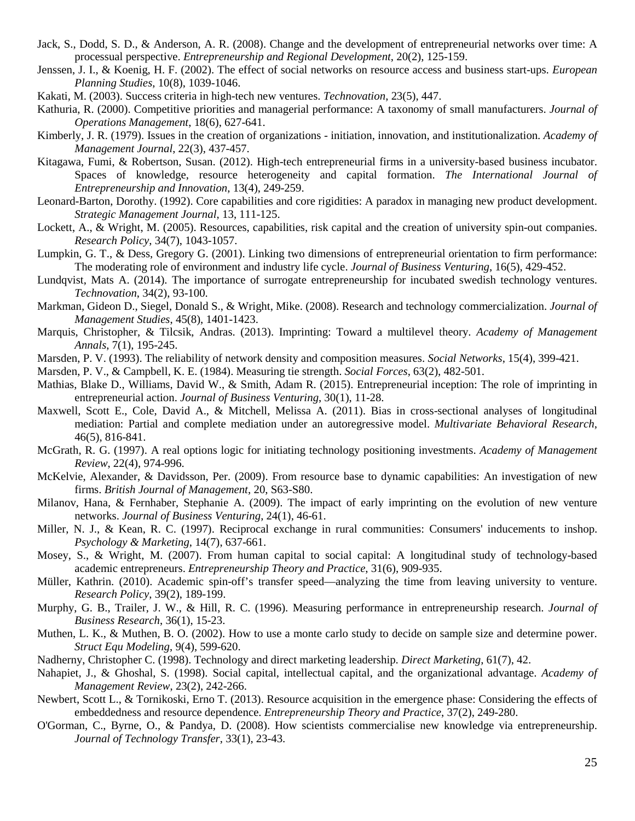- <span id="page-25-25"></span>Jack, S., Dodd, S. D., & Anderson, A. R. (2008). Change and the development of entrepreneurial networks over time: A processual perspective. *Entrepreneurship and Regional Development*, 20(2), 125-159.
- <span id="page-25-26"></span>Jenssen, J. I., & Koenig, H. F. (2002). The effect of social networks on resource access and business start-ups. *European Planning Studies*, 10(8), 1039-1046.
- <span id="page-25-9"></span>Kakati, M. (2003). Success criteria in high-tech new ventures. *Technovation*, 23(5), 447.
- <span id="page-25-22"></span>Kathuria, R. (2000). Competitive priorities and managerial performance: A taxonomy of small manufacturers. *Journal of Operations Management*, 18(6), 627-641.
- <span id="page-25-8"></span>Kimberly, J. R. (1979). Issues in the creation of organizations - initiation, innovation, and institutionalization. *Academy of Management Journal*, 22(3), 437-457.
- <span id="page-25-12"></span>Kitagawa, Fumi, & Robertson, Susan. (2012). High-tech entrepreneurial firms in a university-based business incubator. Spaces of knowledge, resource heterogeneity and capital formation. *The International Journal of Entrepreneurship and Innovation*, 13(4), 249-259.
- <span id="page-25-18"></span>Leonard-Barton, Dorothy. (1992). Core capabilities and core rigidities: A paradox in managing new product development. *Strategic Management Journal*, 13, 111-125.
- <span id="page-25-0"></span>Lockett, A., & Wright, M. (2005). Resources, capabilities, risk capital and the creation of university spin-out companies. *Research Policy*, 34(7), 1043-1057.
- <span id="page-25-17"></span>Lumpkin, G. T., & Dess, Gregory G. (2001). Linking two dimensions of entrepreneurial orientation to firm performance: The moderating role of environment and industry life cycle. *Journal of Business Venturing*, 16(5), 429-452.
- <span id="page-25-1"></span>Lundqvist, Mats A. (2014). The importance of surrogate entrepreneurship for incubated swedish technology ventures. *Technovation*, 34(2), 93-100.
- <span id="page-25-5"></span>Markman, Gideon D., Siegel, Donald S., & Wright, Mike. (2008). Research and technology commercialization. *Journal of Management Studies*, 45(8), 1401-1423.
- <span id="page-25-4"></span>Marquis, Christopher, & Tilcsik, Andras. (2013). Imprinting: Toward a multilevel theory. *Academy of Management Annals*, 7(1), 195-245.
- <span id="page-25-14"></span>Marsden, P. V. (1993). The reliability of network density and composition measures. *Social Networks*, 15(4), 399-421.
- <span id="page-25-13"></span>Marsden, P. V., & Campbell, K. E. (1984). Measuring tie strength. *Social Forces*, 63(2), 482-501.
- <span id="page-25-6"></span>Mathias, Blake D., Williams, David W., & Smith, Adam R. (2015). Entrepreneurial inception: The role of imprinting in entrepreneurial action. *Journal of Business Venturing*, 30(1), 11-28.
- <span id="page-25-27"></span>Maxwell, Scott E., Cole, David A., & Mitchell, Melissa A. (2011). Bias in cross-sectional analyses of longitudinal mediation: Partial and complete mediation under an autoregressive model. *Multivariate Behavioral Research*, 46(5), 816-841.
- <span id="page-25-16"></span>McGrath, R. G. (1997). A real options logic for initiating technology positioning investments. *Academy of Management Review*, 22(4), 974-996.
- <span id="page-25-19"></span>McKelvie, Alexander, & Davidsson, Per. (2009). From resource base to dynamic capabilities: An investigation of new firms. *British Journal of Management*, 20, S63-S80.
- <span id="page-25-7"></span>Milanov, Hana, & Fernhaber, Stephanie A. (2009). The impact of early imprinting on the evolution of new venture networks. *Journal of Business Venturing*, 24(1), 46-61.
- <span id="page-25-15"></span>Miller, N. J., & Kean, R. C. (1997). Reciprocal exchange in rural communities: Consumers' inducements to inshop. *Psychology & Marketing*, 14(7), 637-661.
- <span id="page-25-10"></span>Mosey, S., & Wright, M. (2007). From human capital to social capital: A longitudinal study of technology-based academic entrepreneurs. *Entrepreneurship Theory and Practice*, 31(6), 909-935.
- <span id="page-25-2"></span>Müller, Kathrin. (2010). Academic spin-off's transfer speed—analyzing the time from leaving university to venture. *Research Policy*, 39(2), 189-199.
- <span id="page-25-21"></span>Murphy, G. B., Trailer, J. W., & Hill, R. C. (1996). Measuring performance in entrepreneurship research. *Journal of Business Research*, 36(1), 15-23.
- <span id="page-25-23"></span>Muthen, L. K., & Muthen, B. O. (2002). How to use a monte carlo study to decide on sample size and determine power. *Struct Equ Modeling*, 9(4), 599-620.
- <span id="page-25-20"></span>Nadherny, Christopher C. (1998). Technology and direct marketing leadership. *Direct Marketing*, 61(7), 42.
- <span id="page-25-24"></span>Nahapiet, J., & Ghoshal, S. (1998). Social capital, intellectual capital, and the organizational advantage. *Academy of Management Review*, 23(2), 242-266.
- <span id="page-25-3"></span>Newbert, Scott L., & Tornikoski, Erno T. (2013). Resource acquisition in the emergence phase: Considering the effects of embeddedness and resource dependence. *Entrepreneurship Theory and Practice*, 37(2), 249-280.
- <span id="page-25-11"></span>O'Gorman, C., Byrne, O., & Pandya, D. (2008). How scientists commercialise new knowledge via entrepreneurship. *Journal of Technology Transfer*, 33(1), 23-43.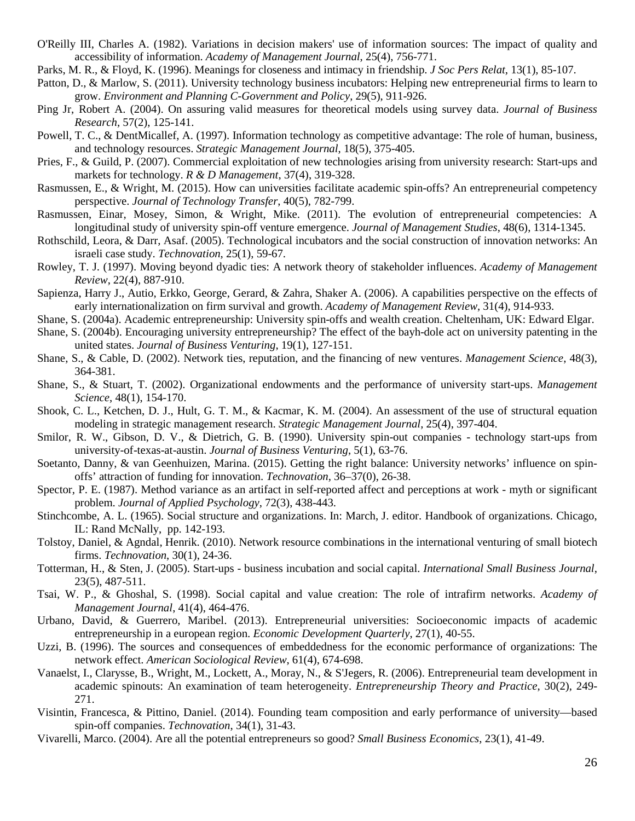- <span id="page-26-20"></span>O'Reilly III, Charles A. (1982). Variations in decision makers' use of information sources: The impact of quality and accessibility of information. *Academy of Management Journal*, 25(4), 756-771.
- <span id="page-26-17"></span>Parks, M. R., & Floyd, K. (1996). Meanings for closeness and intimacy in friendship. *J Soc Pers Relat*, 13(1), 85-107.
- <span id="page-26-15"></span>Patton, D., & Marlow, S. (2011). University technology business incubators: Helping new entrepreneurial firms to learn to grow. *Environment and Planning C-Government and Policy*, 29(5), 911-926.
- <span id="page-26-23"></span>Ping Jr, Robert A. (2004). On assuring valid measures for theoretical models using survey data. *Journal of Business Research*, 57(2), 125-141.
- <span id="page-26-21"></span>Powell, T. C., & DentMicallef, A. (1997). Information technology as competitive advantage: The role of human, business, and technology resources. *Strategic Management Journal*, 18(5), 375-405.
- <span id="page-26-7"></span>Pries, F., & Guild, P. (2007). Commercial exploitation of new technologies arising from university research: Start-ups and markets for technology. *R & D Management*, 37(4), 319-328.
- <span id="page-26-9"></span>Rasmussen, E., & Wright, M. (2015). How can universities facilitate academic spin-offs? An entrepreneurial competency perspective. *Journal of Technology Transfer*, 40(5), 782-799.
- <span id="page-26-3"></span>Rasmussen, Einar, Mosey, Simon, & Wright, Mike. (2011). The evolution of entrepreneurial competencies: A longitudinal study of university spin-off venture emergence. *Journal of Management Studies*, 48(6), 1314-1345.
- <span id="page-26-14"></span>Rothschild, Leora, & Darr, Asaf. (2005). Technological incubators and the social construction of innovation networks: An israeli case study. *Technovation*, 25(1), 59-67.
- <span id="page-26-18"></span>Rowley, T. J. (1997). Moving beyond dyadic ties: A network theory of stakeholder influences. *Academy of Management Review*, 22(4), 887-910.
- <span id="page-26-8"></span>Sapienza, Harry J., Autio, Erkko, George, Gerard, & Zahra, Shaker A. (2006). A capabilities perspective on the effects of early internationalization on firm survival and growth. *Academy of Management Review*, 31(4), 914-933.
- <span id="page-26-2"></span>Shane, S. (2004a). Academic entrepreneurship: University spin-offs and wealth creation. Cheltenham, UK: Edward Elgar.
- <span id="page-26-26"></span>Shane, S. (2004b). Encouraging university entrepreneurship? The effect of the bayh-dole act on university patenting in the united states. *Journal of Business Venturing*, 19(1), 127-151.
- <span id="page-26-12"></span>Shane, S., & Cable, D. (2002). Network ties, reputation, and the financing of new ventures. *Management Science*, 48(3), 364-381.
- <span id="page-26-10"></span>Shane, S., & Stuart, T. (2002). Organizational endowments and the performance of university start-ups. *Management Science*, 48(1), 154-170.
- <span id="page-26-22"></span>Shook, C. L., Ketchen, D. J., Hult, G. T. M., & Kacmar, K. M. (2004). An assessment of the use of structural equation modeling in strategic management research. *Strategic Management Journal*, 25(4), 397-404.
- <span id="page-26-1"></span>Smilor, R. W., Gibson, D. V., & Dietrich, G. B. (1990). University spin-out companies - technology start-ups from university-of-texas-at-austin. *Journal of Business Venturing*, 5(1), 63-76.
- <span id="page-26-11"></span>Soetanto, Danny, & van Geenhuizen, Marina. (2015). Getting the right balance: University networks' influence on spinoffs' attraction of funding for innovation. *Technovation*, 36–37(0), 26-38.
- <span id="page-26-24"></span>Spector, P. E. (1987). Method variance as an artifact in self-reported affect and perceptions at work - myth or significant problem. *Journal of Applied Psychology*, 72(3), 438-443.
- <span id="page-26-6"></span>Stinchcombe, A. L. (1965). Social structure and organizations. In: March, J. editor. Handbook of organizations. Chicago, IL: Rand McNally, pp. 142-193.
- <span id="page-26-13"></span>Tolstoy, Daniel, & Agndal, Henrik. (2010). Network resource combinations in the international venturing of small biotech firms. *Technovation*, 30(1), 24-36.
- <span id="page-26-27"></span>Totterman, H., & Sten, J. (2005). Start-ups - business incubation and social capital. *International Small Business Journal*, 23(5), 487-511.
- <span id="page-26-5"></span>Tsai, W. P., & Ghoshal, S. (1998). Social capital and value creation: The role of intrafirm networks. *Academy of Management Journal*, 41(4), 464-476.
- <span id="page-26-0"></span>Urbano, David, & Guerrero, Maribel. (2013). Entrepreneurial universities: Socioeconomic impacts of academic entrepreneurship in a european region. *Economic Development Quarterly*, 27(1), 40-55.
- <span id="page-26-19"></span>Uzzi, B. (1996). The sources and consequences of embeddedness for the economic performance of organizations: The network effect. *American Sociological Review*, 61(4), 674-698.
- <span id="page-26-4"></span>Vanaelst, I., Clarysse, B., Wright, M., Lockett, A., Moray, N., & S'Jegers, R. (2006). Entrepreneurial team development in academic spinouts: An examination of team heterogeneity. *Entrepreneurship Theory and Practice*, 30(2), 249- 271.
- <span id="page-26-16"></span>Visintin, Francesca, & Pittino, Daniel. (2014). Founding team composition and early performance of university—based spin-off companies. *Technovation*, 34(1), 31-43.
- <span id="page-26-25"></span>Vivarelli, Marco. (2004). Are all the potential entrepreneurs so good? *Small Business Economics*, 23(1), 41-49.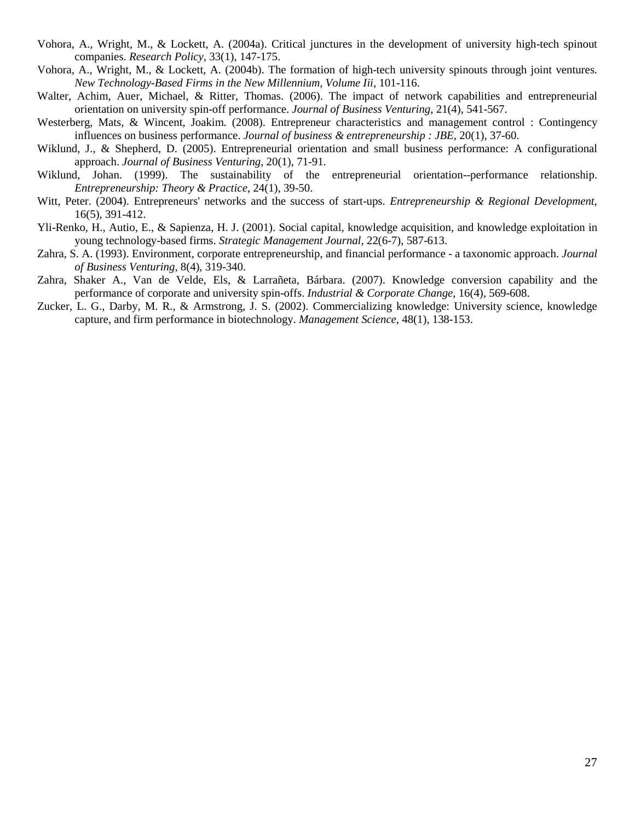- <span id="page-27-0"></span>Vohora, A., Wright, M., & Lockett, A. (2004a). Critical junctures in the development of university high-tech spinout companies. *Research Policy*, 33(1), 147-175.
- <span id="page-27-2"></span>Vohora, A., Wright, M., & Lockett, A. (2004b). The formation of high-tech university spinouts through joint ventures. *New Technology-Based Firms in the New Millennium, Volume Iii*, 101-116.
- <span id="page-27-1"></span>Walter, Achim, Auer, Michael, & Ritter, Thomas. (2006). The impact of network capabilities and entrepreneurial orientation on university spin-off performance. *Journal of Business Venturing*, 21(4), 541-567.
- <span id="page-27-10"></span>Westerberg, Mats, & Wincent, Joakim. (2008). Entrepreneur characteristics and management control : Contingency influences on business performance. *Journal of business & entrepreneurship : JBE*, 20(1), 37-60.
- <span id="page-27-9"></span>Wiklund, J., & Shepherd, D. (2005). Entrepreneurial orientation and small business performance: A configurational approach. *Journal of Business Venturing*, 20(1), 71-91.
- <span id="page-27-8"></span>Wiklund, Johan. (1999). The sustainability of the entrepreneurial orientation--performance relationship. *Entrepreneurship: Theory & Practice*, 24(1), 39-50.
- <span id="page-27-6"></span>Witt, Peter. (2004). Entrepreneurs' networks and the success of start-ups. *Entrepreneurship & Regional Development*, 16(5), 391-412.
- <span id="page-27-4"></span>Yli-Renko, H., Autio, E., & Sapienza, H. J. (2001). Social capital, knowledge acquisition, and knowledge exploitation in young technology-based firms. *Strategic Management Journal*, 22(6-7), 587-613.
- <span id="page-27-7"></span>Zahra, S. A. (1993). Environment, corporate entrepreneurship, and financial performance - a taxonomic approach. *Journal of Business Venturing*, 8(4), 319-340.
- <span id="page-27-3"></span>Zahra, Shaker A., Van de Velde, Els, & Larrañeta, Bárbara. (2007). Knowledge conversion capability and the performance of corporate and university spin-offs. *Industrial & Corporate Change*, 16(4), 569-608.
- <span id="page-27-5"></span>Zucker, L. G., Darby, M. R., & Armstrong, J. S. (2002). Commercializing knowledge: University science, knowledge capture, and firm performance in biotechnology. *Management Science*, 48(1), 138-153.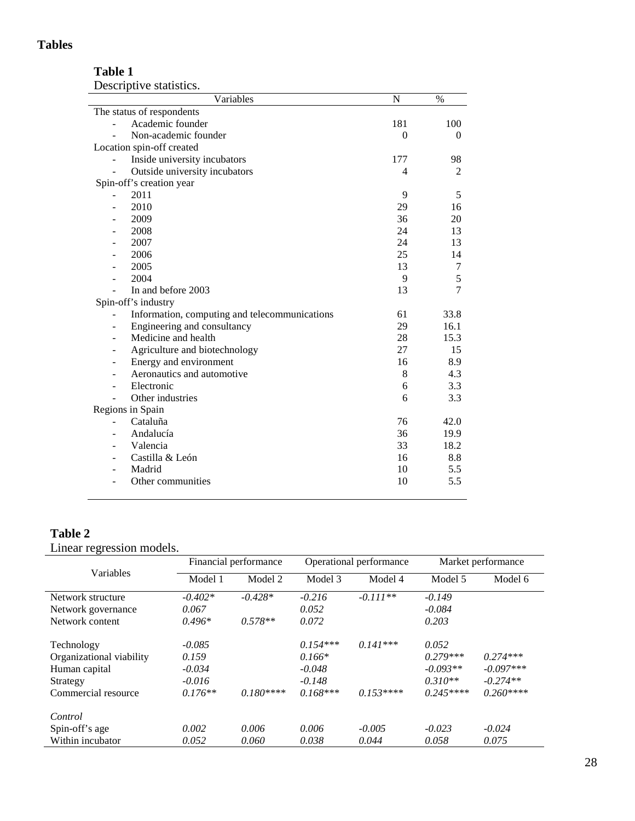# **Tables**

# **Table 1**

| Descriptive statistics.                                 |                |                |
|---------------------------------------------------------|----------------|----------------|
| Variables                                               | N              | $\%$           |
| The status of respondents                               |                |                |
| Academic founder                                        | 181            | 100            |
| Non-academic founder                                    | $\theta$       | $\Omega$       |
| Location spin-off created                               |                |                |
| Inside university incubators                            | 177            | 98             |
| Outside university incubators                           | $\overline{4}$ | $\overline{2}$ |
| Spin-off's creation year                                |                |                |
| 2011                                                    | 9              | 5              |
| 2010                                                    | 29             | 16             |
| 2009                                                    | 36             | 20             |
| 2008                                                    | 24             | 13             |
| 2007                                                    | 24             | 13             |
| 2006                                                    | 25             | 14             |
| 2005                                                    | 13             | 7              |
| 2004                                                    | 9              | 5              |
| In and before 2003                                      | 13             | 7              |
| Spin-off's industry                                     |                |                |
| Information, computing and telecommunications           | 61             | 33.8           |
| Engineering and consultancy<br>$\overline{\phantom{0}}$ | 29             | 16.1           |
| Medicine and health<br>L,                               | 28             | 15.3           |
| Agriculture and biotechnology                           | 27             | 15             |
| Energy and environment                                  | 16             | 8.9            |
| Aeronautics and automotive                              | 8              | 4.3            |
| Electronic                                              | 6              | 3.3            |
| Other industries                                        | 6              | 3.3            |
| Regions in Spain                                        |                |                |
| Cataluña                                                | 76             | 42.0           |
| Andalucía<br>۰                                          | 36             | 19.9           |
| Valencia<br>$\overline{\phantom{a}}$                    | 33             | 18.2           |
| Castilla & León                                         | 16             | 8.8            |
| Madrid                                                  | 10             | 5.5            |
| Other communities                                       | 10             | 5.5            |
|                                                         |                |                |

# **Table 2**

Linear regression models.

|                          |           | Financial performance |            | Operational performance | Market performance |             |  |
|--------------------------|-----------|-----------------------|------------|-------------------------|--------------------|-------------|--|
| Variables                | Model 1   | Model 2               | Model 3    | Model 4                 | Model 5            | Model 6     |  |
| Network structure        | $-0.402*$ | $-0.428*$             | $-0.216$   | $-0.111**$              | $-0.149$           |             |  |
| Network governance       | 0.067     |                       | 0.052      |                         | $-0.084$           |             |  |
| Network content          | $0.496*$  | $0.578**$             | 0.072      |                         | 0.203              |             |  |
| Technology               | $-0.085$  |                       | $0.154***$ | $0.141***$              | 0.052              |             |  |
| Organizational viability | 0.159     |                       | $0.166*$   |                         | $0.279***$         | $0.274***$  |  |
| Human capital            | $-0.034$  |                       | $-0.048$   |                         | $-0.093**$         | $-0.097***$ |  |
| Strategy                 | $-0.016$  |                       | $-0.148$   |                         | $0.310**$          | $-0.274**$  |  |
| Commercial resource      | $0.176**$ | $0.180***$            | $0.168***$ | $0.153***$              | $0.245***$         | $0.260***$  |  |
| Control                  |           |                       |            |                         |                    |             |  |
| Spin-off's age           | 0.002     | 0.006                 | 0.006      | $-0.005$                | $-0.023$           | $-0.024$    |  |
| Within incubator         | 0.052     | 0.060                 | 0.038      | 0.044                   | 0.058              | 0.075       |  |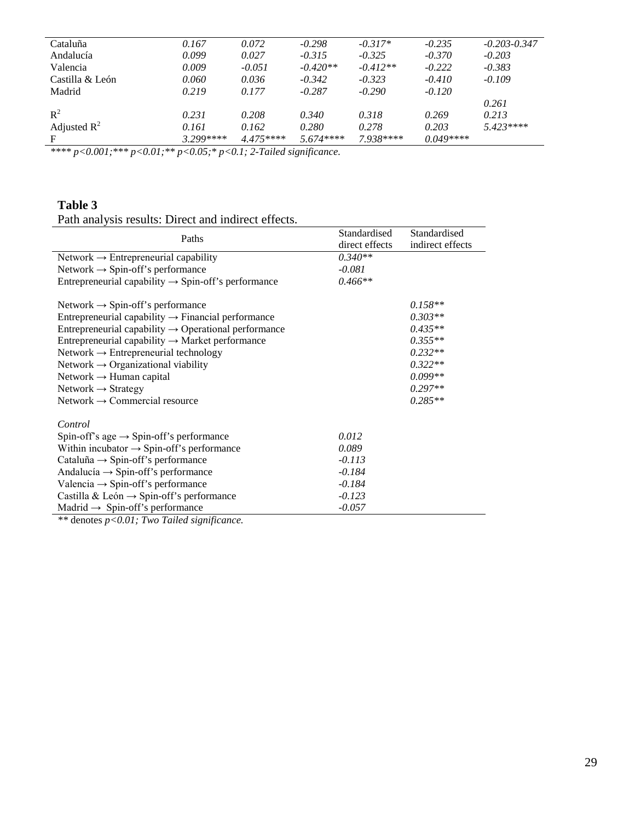| Cataluña        | 0.167      | 0.072      | $-0.298$   | $-0.317*$  | $-0.235$   | $-0.203 - 0.347$ |
|-----------------|------------|------------|------------|------------|------------|------------------|
| Andalucía       | 0.099      | 0.027      | $-0.315$   | $-0.325$   | $-0.370$   | $-0.203$         |
| Valencia        | 0.009      | $-0.051$   | $-0.420**$ | $-0.412**$ | $-0.222$   | $-0.383$         |
| Castilla & León | 0.060      | 0.036      | $-0.342$   | $-0.323$   | $-0.410$   | $-0.109$         |
| Madrid          | 0.219      | 0.177      | $-0.287$   | $-0.290$   | $-0.120$   |                  |
|                 |            |            |            |            |            | 0.261            |
| $R^2$           | 0.231      | 0.208      | 0.340      | 0.318      | 0.269      | 0.213            |
| Adjusted $R^2$  | 0.161      | 0.162      | 0.280      | 0.278      | 0.203      | $5.423***$       |
| F               | $3.299***$ | $4.475***$ | $5.674***$ | 7.938****  | $0.049***$ |                  |

*\*\*\*\* p<0.001;\*\*\* p<0.01;\*\* p<0.05;\* p<0.1; 2-Tailed significance.*

# **Table 3**

|  | Path analysis results: Direct and indirect effects. |  |
|--|-----------------------------------------------------|--|
|--|-----------------------------------------------------|--|

| Paths                                                            | Standardised   | Standardised     |
|------------------------------------------------------------------|----------------|------------------|
|                                                                  | direct effects | indirect effects |
| Network $\rightarrow$ Entrepreneurial capability                 | $0.340**$      |                  |
| Network $\rightarrow$ Spin-off's performance                     | $-0.081$       |                  |
| Entrepreneurial capability $\rightarrow$ Spin-off's performance  | $0.466**$      |                  |
|                                                                  |                |                  |
| Network $\rightarrow$ Spin-off's performance                     |                | $0.158**$        |
| Entrepreneurial capability $\rightarrow$ Financial performance   |                | $0.303**$        |
| Entrepreneurial capability $\rightarrow$ Operational performance |                | $0.435**$        |
| Entrepreneurial capability $\rightarrow$ Market performance      |                | $0.355**$        |
| Network $\rightarrow$ Entrepreneurial technology                 |                | $0.232**$        |
| Network $\rightarrow$ Organizational viability                   |                | $0.322**$        |
| Network $\rightarrow$ Human capital                              |                | $0.099**$        |
| Network $\rightarrow$ Strategy                                   |                | $0.297**$        |
| Network $\rightarrow$ Commercial resource                        |                | $0.285**$        |
| Control                                                          |                |                  |
| Spin-off's age $\rightarrow$ Spin-off's performance              | 0.012          |                  |
| Within incubator $\rightarrow$ Spin-off's performance            | 0.089          |                  |
| Cataluña $\rightarrow$ Spin-off's performance                    | $-0.113$       |                  |
| Andalucía $\rightarrow$ Spin-off's performance                   | $-0.184$       |                  |
| Valencia $\rightarrow$ Spin-off's performance                    | $-0.184$       |                  |
| Castilla & León $\rightarrow$ Spin-off's performance             | $-0.123$       |                  |
| Madrid $\rightarrow$ Spin-off's performance                      | $-0.057$       |                  |

*\*\** denotes *p<0.01; Two Tailed significance.*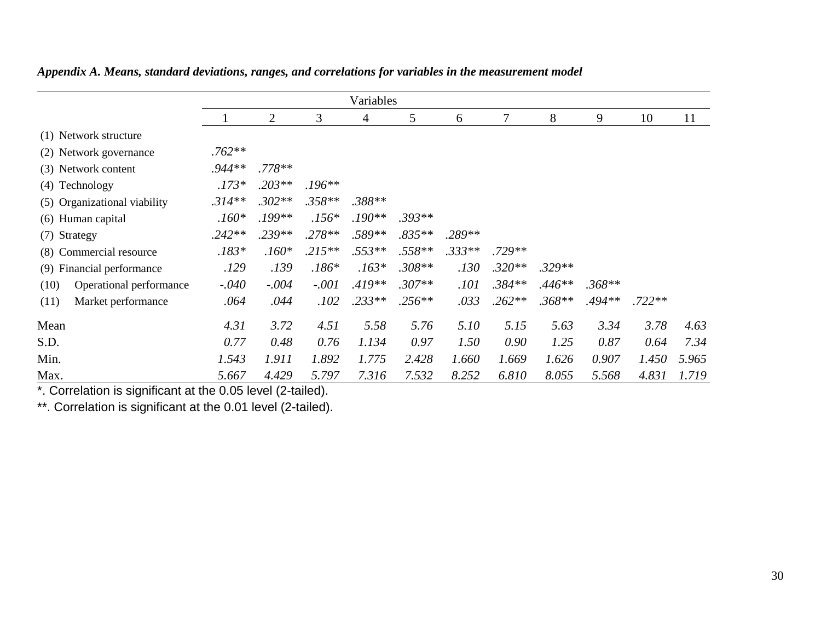|                                 |          |          |          | Variables |          |          |          |          |          |          |       |
|---------------------------------|----------|----------|----------|-----------|----------|----------|----------|----------|----------|----------|-------|
|                                 |          | 2        | 3        | 4         | 5        | 6        | 7        | 8        | 9        | 10       | 11    |
| (1) Network structure           |          |          |          |           |          |          |          |          |          |          |       |
| (2) Network governance          | $.762**$ |          |          |           |          |          |          |          |          |          |       |
| (3) Network content             | $.944**$ | $.778**$ |          |           |          |          |          |          |          |          |       |
| (4) Technology                  | $.173*$  | $.203**$ | $.196**$ |           |          |          |          |          |          |          |       |
| (5) Organizational viability    | $.314**$ | $.302**$ | $.358**$ | $.388**$  |          |          |          |          |          |          |       |
| (6) Human capital               | $.160*$  | .199**   | $.156*$  | $.190**$  | $.393**$ |          |          |          |          |          |       |
| (7) Strategy                    | $.242**$ | $.239**$ | $.278**$ | $.589**$  | $.835**$ | .289**   |          |          |          |          |       |
| (8) Commercial resource         | $.183*$  | $.160*$  | $.215**$ | $.553**$  | $.558**$ | $.333**$ | $.729**$ |          |          |          |       |
| (9) Financial performance       | .129     | .139     | $.186*$  | $.163*$   | $.308**$ | .130     | $.320**$ | $.329**$ |          |          |       |
| Operational performance<br>(10) | $-.040$  | $-.004$  | $-.001$  | $.419**$  | $.307**$ | .101     | $.384**$ | $.446**$ | $.368**$ |          |       |
| Market performance<br>(11)      | .064     | .044     | .102     | $.233**$  | $.256**$ | .033     | $.262**$ | $.368**$ | $.494**$ | $.722**$ |       |
| Mean                            | 4.31     | 3.72     | 4.51     | 5.58      | 5.76     | 5.10     | 5.15     | 5.63     | 3.34     | 3.78     | 4.63  |
| S.D.                            | 0.77     | 0.48     | 0.76     | 1.134     | 0.97     | 1.50     | 0.90     | 1.25     | 0.87     | 0.64     | 7.34  |
| Min.                            | 1.543    | 1.911    | 1.892    | 1.775     | 2.428    | 1.660    | 1.669    | 1.626    | 0.907    | 1.450    | 5.965 |
| Max.                            | 5.667    | 4.429    | 5.797    | 7.316     | 7.532    | 8.252    | 6.810    | 8.055    | 5.568    | 4.831    | 1.719 |

### *Appendix A. Means, standard deviations, ranges, and correlations for variables in the measurement model*

\*. Correlation is significant at the 0.05 level (2-tailed).

\*\*. Correlation is significant at the 0.01 level (2-tailed).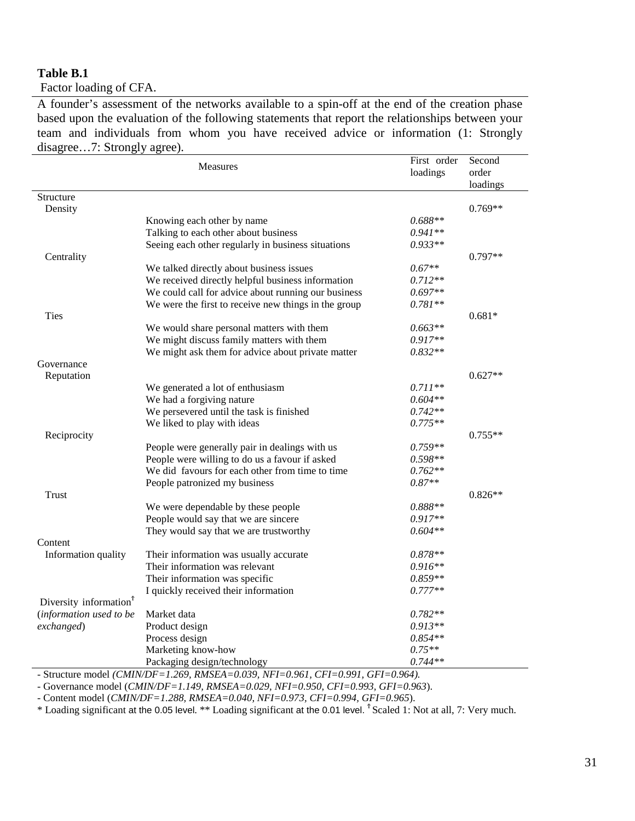#### **Table B.1**

Factor loading of CFA.

A founder's assessment of the networks available to a spin-off at the end of the creation phase based upon the evaluation of the following statements that report the relationships between your team and individuals from whom you have received advice or information (1: Strongly disagree…7: Strongly agree).

|                                    | <b>Measures</b>                                                          | First order<br>loadings | Second<br>order<br>loadings |
|------------------------------------|--------------------------------------------------------------------------|-------------------------|-----------------------------|
| Structure                          |                                                                          |                         |                             |
| Density                            |                                                                          |                         | $0.769**$                   |
|                                    | Knowing each other by name                                               | $0.688**$               |                             |
|                                    | Talking to each other about business                                     | $0.941**$               |                             |
|                                    | Seeing each other regularly in business situations                       | $0.933**$               |                             |
| Centrality                         |                                                                          |                         | $0.797**$                   |
|                                    | We talked directly about business issues                                 | $0.67**$                |                             |
|                                    | We received directly helpful business information                        | $0.712**$               |                             |
|                                    | We could call for advice about running our business                      | $0.697**$               |                             |
|                                    | We were the first to receive new things in the group                     | $0.781**$               |                             |
| <b>Ties</b>                        |                                                                          |                         | $0.681*$                    |
|                                    | We would share personal matters with them                                | $0.663**$               |                             |
|                                    | We might discuss family matters with them                                | $0.917**$               |                             |
|                                    | We might ask them for advice about private matter                        | $0.832**$               |                             |
| Governance                         |                                                                          |                         |                             |
| Reputation                         |                                                                          |                         | $0.627**$                   |
|                                    | We generated a lot of enthusiasm                                         | $0.711**$               |                             |
|                                    | We had a forgiving nature                                                | $0.604**$               |                             |
|                                    | We persevered until the task is finished                                 | $0.742**$               |                             |
|                                    | We liked to play with ideas                                              | $0.775**$               |                             |
| Reciprocity                        |                                                                          |                         | $0.755**$                   |
|                                    | People were generally pair in dealings with us                           | $0.759**$               |                             |
|                                    | People were willing to do us a favour if asked                           | $0.598**$               |                             |
|                                    | We did favours for each other from time to time                          | $0.762**$               |                             |
|                                    | People patronized my business                                            | $0.87**$                |                             |
| Trust                              |                                                                          |                         | $0.826**$                   |
|                                    | We were dependable by these people                                       | 0.888**                 |                             |
|                                    | People would say that we are sincere                                     | $0.917**$               |                             |
|                                    | They would say that we are trustworthy                                   | $0.604**$               |                             |
| Content                            |                                                                          | $0.878**$               |                             |
| Information quality                | Their information was usually accurate<br>Their information was relevant | $0.916**$               |                             |
|                                    | Their information was specific                                           | $0.859**$               |                             |
|                                    | I quickly received their information                                     | $0.777**$               |                             |
| Diversity information <sup>®</sup> |                                                                          |                         |                             |
| (information used to be            | Market data                                                              | $0.782**$               |                             |
| exchanged)                         | Product design                                                           | $0.913**$               |                             |
|                                    | Process design                                                           | $0.854**$               |                             |
|                                    | Marketing know-how                                                       | $0.75**$                |                             |
|                                    | Packaging design/technology                                              | $0.744**$               |                             |

- Structure model *(CMIN/DF=1.269, RMSEA=0.039, NFI=0.961, CFI=0.991, GFI=0.964).*

- Governance model (*CMIN/DF=1.149, RMSEA=0.029, NFI=0.950, CFI=0.993, GFI=0.963*).

- Content model (*CMIN/DF=1.288, RMSEA=0.040, NFI=0.973, CFI=0.994, GFI=0.965*).

\* Loading significant at the 0.05 level. \*\* Loading significant at the 0.01 level. <sup>Ϯ</sup> Scaled 1: Not at all, 7: Very much.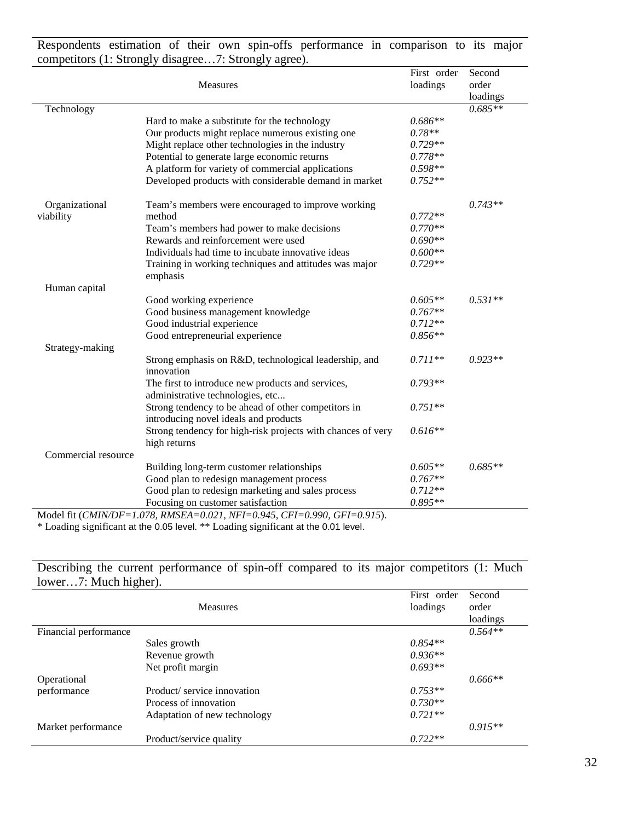Respondents estimation of their own spin-offs performance in comparison to its major competitors (1: Strongly disagree…7: Strongly agree).

|                                 |                                                                                              | First order | Second    |
|---------------------------------|----------------------------------------------------------------------------------------------|-------------|-----------|
|                                 | <b>Measures</b>                                                                              | loadings    | order     |
|                                 |                                                                                              |             | loadings  |
| Technology                      |                                                                                              |             | $0.685**$ |
|                                 | Hard to make a substitute for the technology                                                 | $0.686**$   |           |
|                                 | Our products might replace numerous existing one                                             | $0.78**$    |           |
|                                 | Might replace other technologies in the industry                                             | $0.729**$   |           |
|                                 | Potential to generate large economic returns                                                 | $0.778**$   |           |
|                                 | A platform for variety of commercial applications                                            | $0.598**$   |           |
|                                 | Developed products with considerable demand in market                                        | $0.752**$   |           |
| Organizational                  | Team's members were encouraged to improve working                                            |             | $0.743**$ |
| viability                       | method                                                                                       | $0.772**$   |           |
|                                 | Team's members had power to make decisions                                                   | $0.770**$   |           |
|                                 | Rewards and reinforcement were used                                                          | $0.690**$   |           |
|                                 | Individuals had time to incubate innovative ideas                                            | $0.600**$   |           |
|                                 | Training in working techniques and attitudes was major<br>emphasis                           | $0.729**$   |           |
| Human capital                   |                                                                                              |             |           |
|                                 | Good working experience                                                                      | $0.605**$   | $0.531**$ |
|                                 | Good business management knowledge                                                           | $0.767**$   |           |
|                                 | Good industrial experience                                                                   | $0.712**$   |           |
|                                 | Good entrepreneurial experience                                                              | $0.856**$   |           |
| Strategy-making                 |                                                                                              |             |           |
|                                 | Strong emphasis on R&D, technological leadership, and<br>innovation                          | $0.711**$   | $0.923**$ |
|                                 | The first to introduce new products and services,<br>administrative technologies, etc        | $0.793**$   |           |
|                                 | Strong tendency to be ahead of other competitors in<br>introducing novel ideals and products | $0.751**$   |           |
|                                 | Strong tendency for high-risk projects with chances of very<br>high returns                  | $0.616**$   |           |
| Commercial resource             |                                                                                              |             |           |
|                                 | Building long-term customer relationships                                                    | $0.605**$   | $0.685**$ |
|                                 | Good plan to redesign management process                                                     | $0.767**$   |           |
|                                 | Good plan to redesign marketing and sales process                                            | $0.712**$   |           |
|                                 | Focusing on customer satisfaction                                                            | $0.895**$   |           |
| $1.1 \text{ C}$ ( $C$ ) (I) $D$ | 1.079 BMCFA 0.021 NFL 0.045 CFL 0.000 CFL 0.015                                              |             |           |

Model fit (*CMIN/DF=1.078, RMSEA=0.021, NFI=0.945, CFI=0.990, GFI=0.915*).

\* Loading significant at the 0.05 level. \*\* Loading significant at the 0.01 level.

Describing the current performance of spin-off compared to its major competitors (1: Much lower…7: Much higher). L,

|                       | Measures                     | First order<br>loadings | Second<br>order<br>loadings |
|-----------------------|------------------------------|-------------------------|-----------------------------|
| Financial performance |                              |                         | $0.564**$                   |
|                       | Sales growth                 | $0.854**$               |                             |
|                       | Revenue growth               | $0.936**$               |                             |
|                       | Net profit margin            | $0.693**$               |                             |
| Operational           |                              |                         | $0.666**$                   |
| performance           | Product/service innovation   | $0.753**$               |                             |
|                       | Process of innovation        | $0.730**$               |                             |
|                       | Adaptation of new technology | $0.721**$               |                             |
| Market performance    |                              |                         | $0.915**$                   |
|                       | Product/service quality      | $0.722**$               |                             |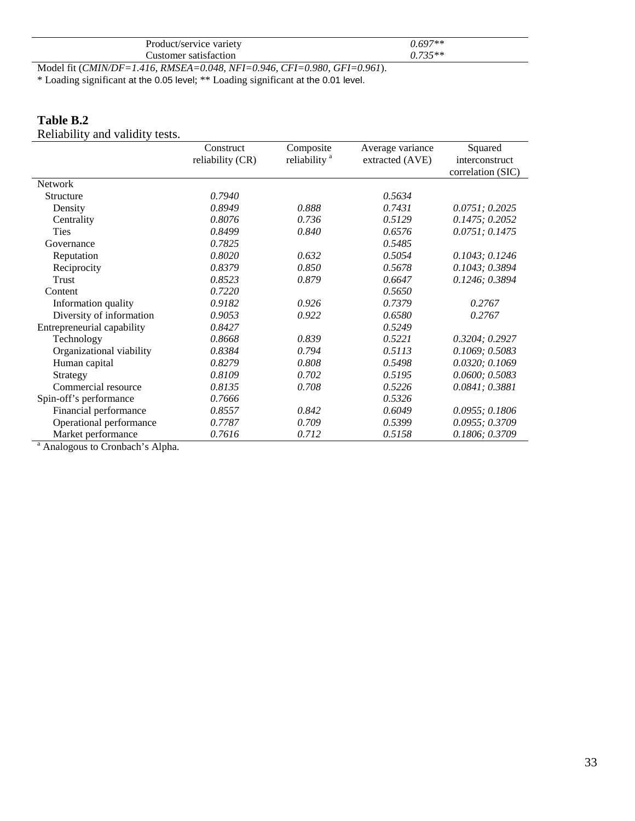| Product/service variety | $0.697**$ |
|-------------------------|-----------|
| Customer satisfaction   | $725**$   |
|                         |           |

Model fit (*CMIN/DF=1.416, RMSEA=0.048, NFI=0.946, CFI=0.980, GFI=0.961*). \* Loading significant at the 0.05 level; \*\* Loading significant at the 0.01 level.

# **Table B.2**

Reliability and validity tests.

|                            | Construct        | Composite                | Average variance | Squared           |
|----------------------------|------------------|--------------------------|------------------|-------------------|
|                            | reliability (CR) | reliability <sup>a</sup> | extracted (AVE)  | interconstruct    |
|                            |                  |                          |                  | correlation (SIC) |
| <b>Network</b>             |                  |                          |                  |                   |
| Structure                  | 0.7940           |                          | 0.5634           |                   |
| Density                    | 0.8949           | 0.888                    | 0.7431           | 0.0751; 0.2025    |
| Centrality                 | 0.8076           | 0.736                    | 0.5129           | 0.1475; 0.2052    |
| <b>Ties</b>                | 0.8499           | 0.840                    | 0.6576           | 0.0751; 0.1475    |
| Governance                 | 0.7825           |                          | 0.5485           |                   |
| Reputation                 | 0.8020           | 0.632                    | 0.5054           | 0.1043; 0.1246    |
| Reciprocity                | 0.8379           | 0.850                    | 0.5678           | 0.1043; 0.3894    |
| Trust                      | 0.8523           | 0.879                    | 0.6647           | 0.1246; 0.3894    |
| Content                    | 0.7220           |                          | 0.5650           |                   |
| Information quality        | 0.9182           | 0.926                    | 0.7379           | 0.2767            |
| Diversity of information   | 0.9053           | 0.922                    | 0.6580           | 0.2767            |
| Entrepreneurial capability | 0.8427           |                          | 0.5249           |                   |
| Technology                 | 0.8668           | 0.839                    | 0.5221           | 0.3204; 0.2927    |
| Organizational viability   | 0.8384           | 0.794                    | 0.5113           | 0.1069; 0.5083    |
| Human capital              | 0.8279           | 0.808                    | 0.5498           | 0.0320; 0.1069    |
| Strategy                   | 0.8109           | 0.702                    | 0.5195           | 0.0600; 0.5083    |
| Commercial resource        | 0.8135           | 0.708                    | 0.5226           | 0.0841; 0.3881    |
| Spin-off's performance     | 0.7666           |                          | 0.5326           |                   |
| Financial performance      | 0.8557           | 0.842                    | 0.6049           | 0.0955; 0.1806    |
| Operational performance    | 0.7787           | 0.709                    | 0.5399           | 0.0955; 0.3709    |
| Market performance         | 0.7616           | 0.712                    | 0.5158           | 0.1806; 0.3709    |

<sup>a</sup> Analogous to Cronbach's Alpha.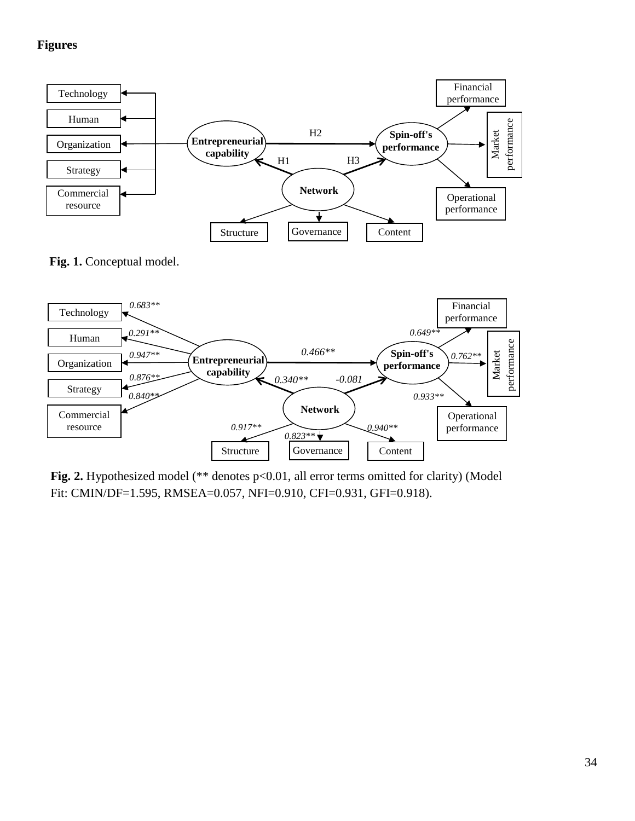### **Figures**



**Fig. 1.** Conceptual model.



Fig. 2. Hypothesized model (\*\* denotes p<0.01, all error terms omitted for clarity) (Model Fit: CMIN/DF=1.595, RMSEA=0.057, NFI=0.910, CFI=0.931, GFI=0.918).